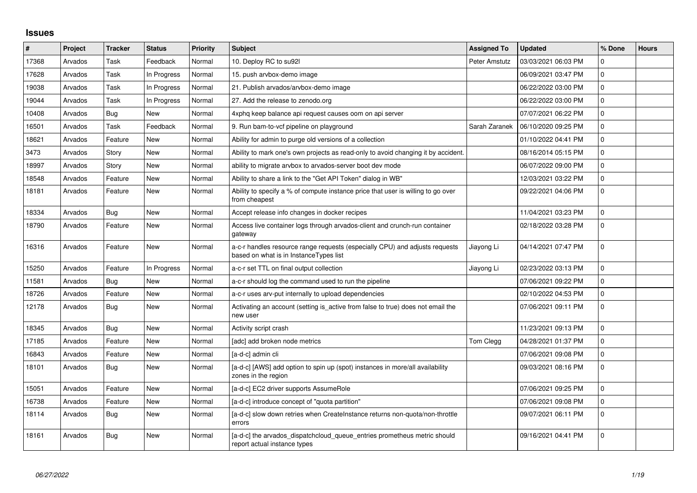## **Issues**

| $\vert$ # | Project | <b>Tracker</b> | <b>Status</b> | <b>Priority</b> | <b>Subject</b>                                                                                                        | <b>Assigned To</b> | <b>Updated</b>      | % Done      | <b>Hours</b> |
|-----------|---------|----------------|---------------|-----------------|-----------------------------------------------------------------------------------------------------------------------|--------------------|---------------------|-------------|--------------|
| 17368     | Arvados | Task           | Feedback      | Normal          | 10. Deploy RC to su92l                                                                                                | Peter Amstutz      | 03/03/2021 06:03 PM | $\Omega$    |              |
| 17628     | Arvados | Task           | In Progress   | Normal          | 15. push arvbox-demo image                                                                                            |                    | 06/09/2021 03:47 PM | $\pmb{0}$   |              |
| 19038     | Arvados | Task           | In Progress   | Normal          | 21. Publish arvados/arvbox-demo image                                                                                 |                    | 06/22/2022 03:00 PM | $\pmb{0}$   |              |
| 19044     | Arvados | Task           | In Progress   | Normal          | 27. Add the release to zenodo.org                                                                                     |                    | 06/22/2022 03:00 PM | $\mathbf 0$ |              |
| 10408     | Arvados | <b>Bug</b>     | New           | Normal          | 4xphq keep balance api request causes oom on api server                                                               |                    | 07/07/2021 06:22 PM | $\pmb{0}$   |              |
| 16501     | Arvados | Task           | Feedback      | Normal          | 9. Run bam-to-vcf pipeline on playground                                                                              | Sarah Zaranek      | 06/10/2020 09:25 PM | $\pmb{0}$   |              |
| 18621     | Arvados | Feature        | New           | Normal          | Ability for admin to purge old versions of a collection                                                               |                    | 01/10/2022 04:41 PM | $\pmb{0}$   |              |
| 3473      | Arvados | Story          | <b>New</b>    | Normal          | Ability to mark one's own projects as read-only to avoid changing it by accident.                                     |                    | 08/16/2014 05:15 PM | $\pmb{0}$   |              |
| 18997     | Arvados | Story          | New           | Normal          | ability to migrate arvbox to arvados-server boot dev mode                                                             |                    | 06/07/2022 09:00 PM | $\mathbf 0$ |              |
| 18548     | Arvados | Feature        | New           | Normal          | Ability to share a link to the "Get API Token" dialog in WB"                                                          |                    | 12/03/2021 03:22 PM | $\pmb{0}$   |              |
| 18181     | Arvados | Feature        | New           | Normal          | Ability to specify a % of compute instance price that user is willing to go over<br>from cheapest                     |                    | 09/22/2021 04:06 PM | $\mathbf 0$ |              |
| 18334     | Arvados | Bug            | <b>New</b>    | Normal          | Accept release info changes in docker recipes                                                                         |                    | 11/04/2021 03:23 PM | $\mathbf 0$ |              |
| 18790     | Arvados | Feature        | New           | Normal          | Access live container logs through arvados-client and crunch-run container<br>gateway                                 |                    | 02/18/2022 03:28 PM | $\mathbf 0$ |              |
| 16316     | Arvados | Feature        | New           | Normal          | a-c-r handles resource range requests (especially CPU) and adjusts requests<br>based on what is in InstanceTypes list | Jiayong Li         | 04/14/2021 07:47 PM | $\mathbf 0$ |              |
| 15250     | Arvados | Feature        | In Progress   | Normal          | a-c-r set TTL on final output collection                                                                              | Jiayong Li         | 02/23/2022 03:13 PM | $\mathbf 0$ |              |
| 11581     | Arvados | <b>Bug</b>     | New           | Normal          | a-c-r should log the command used to run the pipeline                                                                 |                    | 07/06/2021 09:22 PM | $\pmb{0}$   |              |
| 18726     | Arvados | Feature        | <b>New</b>    | Normal          | a-c-r uses arv-put internally to upload dependencies                                                                  |                    | 02/10/2022 04:53 PM | $\pmb{0}$   |              |
| 12178     | Arvados | <b>Bug</b>     | New           | Normal          | Activating an account (setting is active from false to true) does not email the<br>new user                           |                    | 07/06/2021 09:11 PM | $\mathsf 0$ |              |
| 18345     | Arvados | <b>Bug</b>     | <b>New</b>    | Normal          | Activity script crash                                                                                                 |                    | 11/23/2021 09:13 PM | $\mathbf 0$ |              |
| 17185     | Arvados | Feature        | New           | Normal          | [adc] add broken node metrics                                                                                         | Tom Clegg          | 04/28/2021 01:37 PM | $\pmb{0}$   |              |
| 16843     | Arvados | Feature        | <b>New</b>    | Normal          | [a-d-c] admin cli                                                                                                     |                    | 07/06/2021 09:08 PM | $\mathbf 0$ |              |
| 18101     | Arvados | Bug            | New           | Normal          | [a-d-c] [AWS] add option to spin up (spot) instances in more/all availability<br>zones in the region                  |                    | 09/03/2021 08:16 PM | $\mathbf 0$ |              |
| 15051     | Arvados | Feature        | <b>New</b>    | Normal          | [a-d-c] EC2 driver supports AssumeRole                                                                                |                    | 07/06/2021 09:25 PM | $\mathbf 0$ |              |
| 16738     | Arvados | Feature        | New           | Normal          | [a-d-c] introduce concept of "quota partition"                                                                        |                    | 07/06/2021 09:08 PM | $\pmb{0}$   |              |
| 18114     | Arvados | <b>Bug</b>     | New           | Normal          | [a-d-c] slow down retries when CreateInstance returns non-quota/non-throttle<br>errors                                |                    | 09/07/2021 06:11 PM | $\mathbf 0$ |              |
| 18161     | Arvados | <b>Bug</b>     | New           | Normal          | [a-d-c] the arvados_dispatchcloud_queue_entries prometheus metric should<br>report actual instance types              |                    | 09/16/2021 04:41 PM | $\pmb{0}$   |              |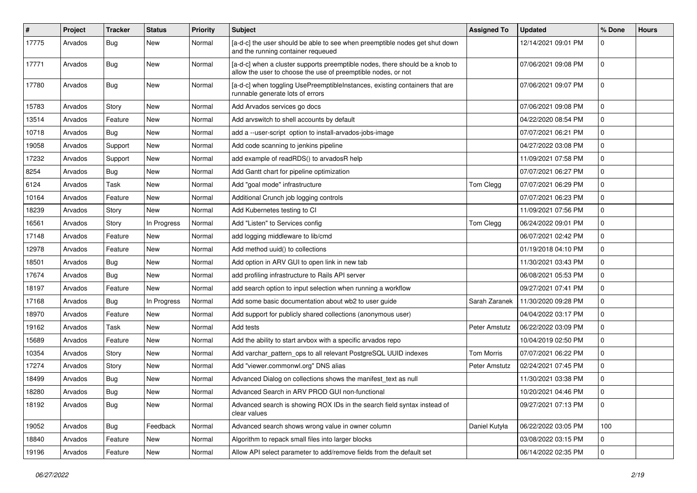| $\pmb{\#}$ | Project | <b>Tracker</b> | <b>Status</b> | <b>Priority</b> | Subject                                                                                                                                       | <b>Assigned To</b> | <b>Updated</b>      | % Done      | <b>Hours</b> |
|------------|---------|----------------|---------------|-----------------|-----------------------------------------------------------------------------------------------------------------------------------------------|--------------------|---------------------|-------------|--------------|
| 17775      | Arvados | <b>Bug</b>     | New           | Normal          | [a-d-c] the user should be able to see when preemptible nodes get shut down<br>and the running container requeued                             |                    | 12/14/2021 09:01 PM | 0           |              |
| 17771      | Arvados | Bug            | New           | Normal          | [a-d-c] when a cluster supports preemptible nodes, there should be a knob to<br>allow the user to choose the use of preemptible nodes, or not |                    | 07/06/2021 09:08 PM | $\mathbf 0$ |              |
| 17780      | Arvados | Bug            | New           | Normal          | [a-d-c] when toggling UsePreemptibleInstances, existing containers that are<br>runnable generate lots of errors                               |                    | 07/06/2021 09:07 PM | 0           |              |
| 15783      | Arvados | Story          | New           | Normal          | Add Arvados services go docs                                                                                                                  |                    | 07/06/2021 09:08 PM | $\mathbf 0$ |              |
| 13514      | Arvados | Feature        | New           | Normal          | Add arvswitch to shell accounts by default                                                                                                    |                    | 04/22/2020 08:54 PM | 0           |              |
| 10718      | Arvados | Bug            | New           | Normal          | add a --user-script option to install-arvados-jobs-image                                                                                      |                    | 07/07/2021 06:21 PM | $\mathbf 0$ |              |
| 19058      | Arvados | Support        | New           | Normal          | Add code scanning to jenkins pipeline                                                                                                         |                    | 04/27/2022 03:08 PM | $\mathbf 0$ |              |
| 17232      | Arvados | Support        | New           | Normal          | add example of readRDS() to arvadosR help                                                                                                     |                    | 11/09/2021 07:58 PM | $\mathbf 0$ |              |
| 8254       | Arvados | Bug            | New           | Normal          | Add Gantt chart for pipeline optimization                                                                                                     |                    | 07/07/2021 06:27 PM | 0           |              |
| 6124       | Arvados | Task           | New           | Normal          | Add "goal mode" infrastructure                                                                                                                | Tom Clegg          | 07/07/2021 06:29 PM | 0           |              |
| 10164      | Arvados | Feature        | New           | Normal          | Additional Crunch job logging controls                                                                                                        |                    | 07/07/2021 06:23 PM | $\mathbf 0$ |              |
| 18239      | Arvados | Story          | New           | Normal          | Add Kubernetes testing to CI                                                                                                                  |                    | 11/09/2021 07:56 PM | $\mathbf 0$ |              |
| 16561      | Arvados | Story          | In Progress   | Normal          | Add "Listen" to Services config                                                                                                               | Tom Clegg          | 06/24/2022 09:01 PM | 0           |              |
| 17148      | Arvados | Feature        | New           | Normal          | add logging middleware to lib/cmd                                                                                                             |                    | 06/07/2021 02:42 PM | $\mathbf 0$ |              |
| 12978      | Arvados | Feature        | New           | Normal          | Add method uuid() to collections                                                                                                              |                    | 01/19/2018 04:10 PM | $\mathbf 0$ |              |
| 18501      | Arvados | Bug            | New           | Normal          | Add option in ARV GUI to open link in new tab                                                                                                 |                    | 11/30/2021 03:43 PM | $\mathbf 0$ |              |
| 17674      | Arvados | <b>Bug</b>     | New           | Normal          | add profiling infrastructure to Rails API server                                                                                              |                    | 06/08/2021 05:53 PM | 0           |              |
| 18197      | Arvados | Feature        | New           | Normal          | add search option to input selection when running a workflow                                                                                  |                    | 09/27/2021 07:41 PM | 0           |              |
| 17168      | Arvados | <b>Bug</b>     | In Progress   | Normal          | Add some basic documentation about wb2 to user guide                                                                                          | Sarah Zaranek      | 11/30/2020 09:28 PM | $\mathbf 0$ |              |
| 18970      | Arvados | Feature        | New           | Normal          | Add support for publicly shared collections (anonymous user)                                                                                  |                    | 04/04/2022 03:17 PM | 0           |              |
| 19162      | Arvados | Task           | New           | Normal          | Add tests                                                                                                                                     | Peter Amstutz      | 06/22/2022 03:09 PM | $\mathbf 0$ |              |
| 15689      | Arvados | Feature        | New           | Normal          | Add the ability to start arvbox with a specific arvados repo                                                                                  |                    | 10/04/2019 02:50 PM | $\mathbf 0$ |              |
| 10354      | Arvados | Story          | New           | Normal          | Add varchar_pattern_ops to all relevant PostgreSQL UUID indexes                                                                               | <b>Tom Morris</b>  | 07/07/2021 06:22 PM | 0           |              |
| 17274      | Arvados | Story          | New           | Normal          | Add "viewer.commonwl.org" DNS alias                                                                                                           | Peter Amstutz      | 02/24/2021 07:45 PM | $\Omega$    |              |
| 18499      | Arvados | Bug            | New           | Normal          | Advanced Dialog on collections shows the manifest_text as null                                                                                |                    | 11/30/2021 03:38 PM | $\mathbf 0$ |              |
| 18280      | Arvados | Bug            | New           | Normal          | Advanced Search in ARV PROD GUI non-functional                                                                                                |                    | 10/20/2021 04:46 PM | 0           |              |
| 18192      | Arvados | <b>Bug</b>     | New           | Normal          | Advanced search is showing ROX IDs in the search field syntax instead of<br>clear values                                                      |                    | 09/27/2021 07:13 PM | 0           |              |
| 19052      | Arvados | <b>Bug</b>     | Feedback      | Normal          | Advanced search shows wrong value in owner column                                                                                             | Daniel Kutyła      | 06/22/2022 03:05 PM | 100         |              |
| 18840      | Arvados | Feature        | New           | Normal          | Algorithm to repack small files into larger blocks                                                                                            |                    | 03/08/2022 03:15 PM | $\mathbf 0$ |              |
| 19196      | Arvados | Feature        | New           | Normal          | Allow API select parameter to add/remove fields from the default set                                                                          |                    | 06/14/2022 02:35 PM | 0           |              |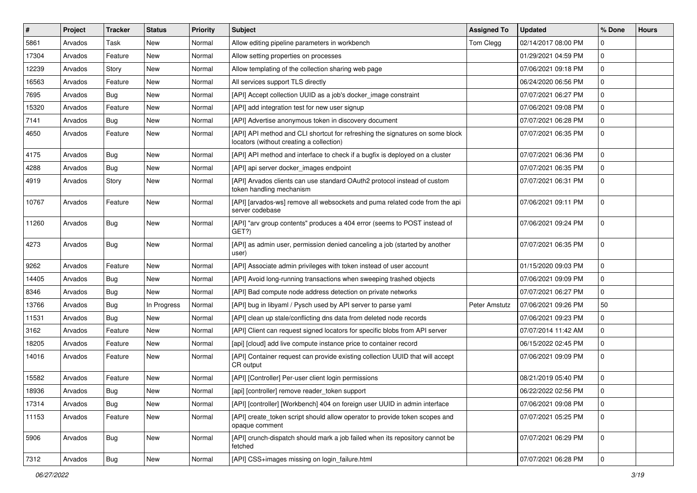| #     | <b>Project</b> | <b>Tracker</b> | <b>Status</b> | <b>Priority</b> | <b>Subject</b>                                                                                                            | <b>Assigned To</b> | <b>Updated</b>      | % Done      | <b>Hours</b> |
|-------|----------------|----------------|---------------|-----------------|---------------------------------------------------------------------------------------------------------------------------|--------------------|---------------------|-------------|--------------|
| 5861  | Arvados        | Task           | New           | Normal          | Allow editing pipeline parameters in workbench                                                                            | Tom Clegg          | 02/14/2017 08:00 PM | $\Omega$    |              |
| 17304 | Arvados        | Feature        | New           | Normal          | Allow setting properties on processes                                                                                     |                    | 01/29/2021 04:59 PM | $\mathbf 0$ |              |
| 12239 | Arvados        | Story          | New           | Normal          | Allow templating of the collection sharing web page                                                                       |                    | 07/06/2021 09:18 PM | $\mathbf 0$ |              |
| 16563 | Arvados        | Feature        | New           | Normal          | All services support TLS directly                                                                                         |                    | 06/24/2020 06:56 PM | $\mathbf 0$ |              |
| 7695  | Arvados        | Bug            | New           | Normal          | [API] Accept collection UUID as a job's docker_image constraint                                                           |                    | 07/07/2021 06:27 PM | $\mathbf 0$ |              |
| 15320 | Arvados        | Feature        | New           | Normal          | [API] add integration test for new user signup                                                                            |                    | 07/06/2021 09:08 PM | $\mathbf 0$ |              |
| 7141  | Arvados        | <b>Bug</b>     | New           | Normal          | [API] Advertise anonymous token in discovery document                                                                     |                    | 07/07/2021 06:28 PM | $\mathbf 0$ |              |
| 4650  | Arvados        | Feature        | New           | Normal          | [API] API method and CLI shortcut for refreshing the signatures on some block<br>locators (without creating a collection) |                    | 07/07/2021 06:35 PM | 0           |              |
| 4175  | Arvados        | <b>Bug</b>     | New           | Normal          | [API] API method and interface to check if a bugfix is deployed on a cluster                                              |                    | 07/07/2021 06:36 PM | $\mathbf 0$ |              |
| 4288  | Arvados        | <b>Bug</b>     | New           | Normal          | [API] api server docker_images endpoint                                                                                   |                    | 07/07/2021 06:35 PM | $\mathbf 0$ |              |
| 4919  | Arvados        | Story          | New           | Normal          | [API] Arvados clients can use standard OAuth2 protocol instead of custom<br>token handling mechanism                      |                    | 07/07/2021 06:31 PM | $\mathbf 0$ |              |
| 10767 | Arvados        | Feature        | New           | Normal          | [API] [arvados-ws] remove all websockets and puma related code from the api<br>server codebase                            |                    | 07/06/2021 09:11 PM | $\mathbf 0$ |              |
| 11260 | Arvados        | Bug            | New           | Normal          | [API] "arv group contents" produces a 404 error (seems to POST instead of<br>GET?)                                        |                    | 07/06/2021 09:24 PM | $\mathbf 0$ |              |
| 4273  | Arvados        | Bug            | New           | Normal          | [API] as admin user, permission denied canceling a job (started by another<br>user)                                       |                    | 07/07/2021 06:35 PM | $\mathbf 0$ |              |
| 9262  | Arvados        | Feature        | New           | Normal          | [API] Associate admin privileges with token instead of user account                                                       |                    | 01/15/2020 09:03 PM | $\mathbf 0$ |              |
| 14405 | Arvados        | <b>Bug</b>     | New           | Normal          | [API] Avoid long-running transactions when sweeping trashed objects                                                       |                    | 07/06/2021 09:09 PM | $\mathbf 0$ |              |
| 8346  | Arvados        | <b>Bug</b>     | New           | Normal          | [API] Bad compute node address detection on private networks                                                              |                    | 07/07/2021 06:27 PM | $\mathbf 0$ |              |
| 13766 | Arvados        | <b>Bug</b>     | In Progress   | Normal          | [API] bug in libyaml / Pysch used by API server to parse yaml                                                             | Peter Amstutz      | 07/06/2021 09:26 PM | 50          |              |
| 11531 | Arvados        | <b>Bug</b>     | New           | Normal          | [API] clean up stale/conflicting dns data from deleted node records                                                       |                    | 07/06/2021 09:23 PM | $\mathbf 0$ |              |
| 3162  | Arvados        | Feature        | New           | Normal          | [API] Client can request signed locators for specific blobs from API server                                               |                    | 07/07/2014 11:42 AM | $\mathbf 0$ |              |
| 18205 | Arvados        | Feature        | New           | Normal          | [api] [cloud] add live compute instance price to container record                                                         |                    | 06/15/2022 02:45 PM | $\mathbf 0$ |              |
| 14016 | Arvados        | Feature        | New           | Normal          | [API] Container request can provide existing collection UUID that will accept<br>CR output                                |                    | 07/06/2021 09:09 PM | $\mathbf 0$ |              |
| 15582 | Arvados        | Feature        | New           | Normal          | [API] [Controller] Per-user client login permissions                                                                      |                    | 08/21/2019 05:40 PM | $\mathbf 0$ |              |
| 18936 | Arvados        | Bug            | New           | Normal          | [api] [controller] remove reader token support                                                                            |                    | 06/22/2022 02:56 PM | $\mathbf 0$ |              |
| 17314 | Arvados        | Bug            | New           | Normal          | [API] [controller] [Workbench] 404 on foreign user UUID in admin interface                                                |                    | 07/06/2021 09:08 PM | $\mathbf 0$ |              |
| 11153 | Arvados        | Feature        | New           | Normal          | [API] create_token script should allow operator to provide token scopes and<br>opaque comment                             |                    | 07/07/2021 05:25 PM | $\mathbf 0$ |              |
| 5906  | Arvados        | Bug            | New           | Normal          | [API] crunch-dispatch should mark a job failed when its repository cannot be<br>fetched                                   |                    | 07/07/2021 06:29 PM | 0           |              |
| 7312  | Arvados        | Bug            | New           | Normal          | [API] CSS+images missing on login_failure.html                                                                            |                    | 07/07/2021 06:28 PM | 0           |              |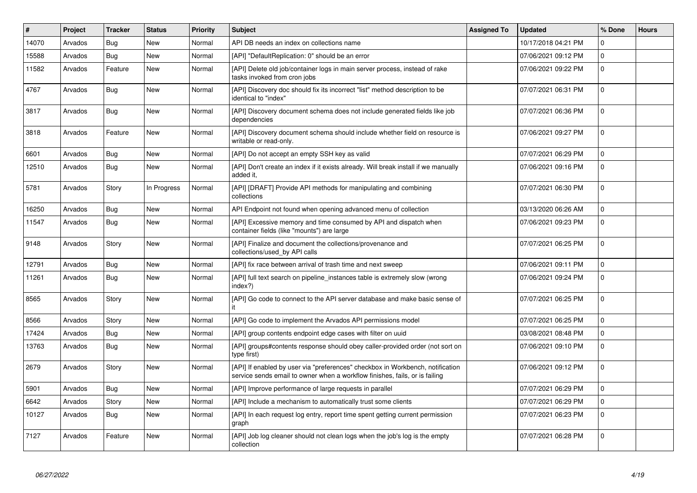| $\vert$ # | Project | <b>Tracker</b> | <b>Status</b> | <b>Priority</b> | <b>Subject</b>                                                                                                                                                | <b>Assigned To</b> | <b>Updated</b>      | % Done      | <b>Hours</b> |
|-----------|---------|----------------|---------------|-----------------|---------------------------------------------------------------------------------------------------------------------------------------------------------------|--------------------|---------------------|-------------|--------------|
| 14070     | Arvados | <b>Bug</b>     | <b>New</b>    | Normal          | API DB needs an index on collections name                                                                                                                     |                    | 10/17/2018 04:21 PM | $\Omega$    |              |
| 15588     | Arvados | Bug            | <b>New</b>    | Normal          | [API] "DefaultReplication: 0" should be an error                                                                                                              |                    | 07/06/2021 09:12 PM | $\mathbf 0$ |              |
| 11582     | Arvados | Feature        | New           | Normal          | [API] Delete old job/container logs in main server process, instead of rake<br>tasks invoked from cron jobs                                                   |                    | 07/06/2021 09:22 PM | $\pmb{0}$   |              |
| 4767      | Arvados | <b>Bug</b>     | New           | Normal          | [API] Discovery doc should fix its incorrect "list" method description to be<br>identical to "index"                                                          |                    | 07/07/2021 06:31 PM | $\mathbf 0$ |              |
| 3817      | Arvados | Bug            | New           | Normal          | [API] Discovery document schema does not include generated fields like job<br>dependencies                                                                    |                    | 07/07/2021 06:36 PM | $\pmb{0}$   |              |
| 3818      | Arvados | Feature        | New           | Normal          | [API] Discovery document schema should include whether field on resource is<br>writable or read-only.                                                         |                    | 07/06/2021 09:27 PM | $\mathbf 0$ |              |
| 6601      | Arvados | Bug            | New           | Normal          | [API] Do not accept an empty SSH key as valid                                                                                                                 |                    | 07/07/2021 06:29 PM | $\mathbf 0$ |              |
| 12510     | Arvados | <b>Bug</b>     | New           | Normal          | [API] Don't create an index if it exists already. Will break install if we manually<br>added it.                                                              |                    | 07/06/2021 09:16 PM | $\mathbf 0$ |              |
| 5781      | Arvados | Story          | In Progress   | Normal          | [API] [DRAFT] Provide API methods for manipulating and combining<br>collections                                                                               |                    | 07/07/2021 06:30 PM | $\mathbf 0$ |              |
| 16250     | Arvados | <b>Bug</b>     | <b>New</b>    | Normal          | API Endpoint not found when opening advanced menu of collection                                                                                               |                    | 03/13/2020 06:26 AM | $\pmb{0}$   |              |
| 11547     | Arvados | <b>Bug</b>     | New           | Normal          | [API] Excessive memory and time consumed by API and dispatch when<br>container fields (like "mounts") are large                                               |                    | 07/06/2021 09:23 PM | $\mathbf 0$ |              |
| 9148      | Arvados | Story          | New           | Normal          | [API] Finalize and document the collections/provenance and<br>collections/used by API calls                                                                   |                    | 07/07/2021 06:25 PM | $\mathbf 0$ |              |
| 12791     | Arvados | <b>Bug</b>     | New           | Normal          | [API] fix race between arrival of trash time and next sweep                                                                                                   |                    | 07/06/2021 09:11 PM | 0           |              |
| 11261     | Arvados | <b>Bug</b>     | New           | Normal          | [API] full text search on pipeline_instances table is extremely slow (wrong<br>index?)                                                                        |                    | 07/06/2021 09:24 PM | $\mathbf 0$ |              |
| 8565      | Arvados | Story          | New           | Normal          | [API] Go code to connect to the API server database and make basic sense of                                                                                   |                    | 07/07/2021 06:25 PM | $\mathbf 0$ |              |
| 8566      | Arvados | Story          | New           | Normal          | [API] Go code to implement the Arvados API permissions model                                                                                                  |                    | 07/07/2021 06:25 PM | $\mathbf 0$ |              |
| 17424     | Arvados | Bug            | New           | Normal          | [API] group contents endpoint edge cases with filter on uuid                                                                                                  |                    | 03/08/2021 08:48 PM | $\pmb{0}$   |              |
| 13763     | Arvados | Bug            | New           | Normal          | [API] groups#contents response should obey caller-provided order (not sort on<br>type first)                                                                  |                    | 07/06/2021 09:10 PM | $\mathbf 0$ |              |
| 2679      | Arvados | Story          | New           | Normal          | [API] If enabled by user via "preferences" checkbox in Workbench, notification<br>service sends email to owner when a workflow finishes, fails, or is failing |                    | 07/06/2021 09:12 PM | 0           |              |
| 5901      | Arvados | <b>Bug</b>     | New           | Normal          | [API] Improve performance of large requests in parallel                                                                                                       |                    | 07/07/2021 06:29 PM | $\mathbf 0$ |              |
| 6642      | Arvados | Story          | New           | Normal          | [API] Include a mechanism to automatically trust some clients                                                                                                 |                    | 07/07/2021 06:29 PM | $\mathbf 0$ |              |
| 10127     | Arvados | Bug            | New           | Normal          | [API] In each request log entry, report time spent getting current permission<br>graph                                                                        |                    | 07/07/2021 06:23 PM | $\pmb{0}$   |              |
| 7127      | Arvados | Feature        | New           | Normal          | [API] Job log cleaner should not clean logs when the job's log is the empty<br>collection                                                                     |                    | 07/07/2021 06:28 PM | $\mathbf 0$ |              |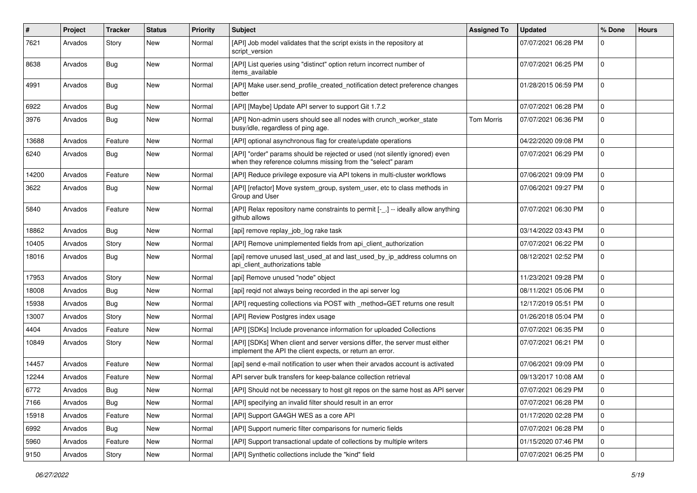| $\#$  | Project | <b>Tracker</b> | <b>Status</b> | <b>Priority</b> | Subject                                                                                                                                    | <b>Assigned To</b> | <b>Updated</b>      | % Done      | <b>Hours</b> |
|-------|---------|----------------|---------------|-----------------|--------------------------------------------------------------------------------------------------------------------------------------------|--------------------|---------------------|-------------|--------------|
| 7621  | Arvados | Story          | New           | Normal          | [API] Job model validates that the script exists in the repository at<br>script version                                                    |                    | 07/07/2021 06:28 PM | 0           |              |
| 8638  | Arvados | Bug            | New           | Normal          | [API] List queries using "distinct" option return incorrect number of<br>items available                                                   |                    | 07/07/2021 06:25 PM | $\mathbf 0$ |              |
| 4991  | Arvados | Bug            | New           | Normal          | [API] Make user.send_profile_created_notification detect preference changes<br>better                                                      |                    | 01/28/2015 06:59 PM | $\mathbf 0$ |              |
| 6922  | Arvados | Bug            | New           | Normal          | [API] [Maybe] Update API server to support Git 1.7.2                                                                                       |                    | 07/07/2021 06:28 PM | $\mathbf 0$ |              |
| 3976  | Arvados | <b>Bug</b>     | New           | Normal          | [API] Non-admin users should see all nodes with crunch_worker_state<br>busy/idle, regardless of ping age.                                  | <b>Tom Morris</b>  | 07/07/2021 06:36 PM | $\mathbf 0$ |              |
| 13688 | Arvados | Feature        | New           | Normal          | [API] optional asynchronous flag for create/update operations                                                                              |                    | 04/22/2020 09:08 PM | $\mathbf 0$ |              |
| 6240  | Arvados | Bug            | New           | Normal          | [API] "order" params should be rejected or used (not silently ignored) even<br>when they reference columns missing from the "select" param |                    | 07/07/2021 06:29 PM | $\mathbf 0$ |              |
| 14200 | Arvados | Feature        | New           | Normal          | [API] Reduce privilege exposure via API tokens in multi-cluster workflows                                                                  |                    | 07/06/2021 09:09 PM | $\mathbf 0$ |              |
| 3622  | Arvados | Bug            | New           | Normal          | [API] [refactor] Move system_group, system_user, etc to class methods in<br>Group and User                                                 |                    | 07/06/2021 09:27 PM | $\mathbf 0$ |              |
| 5840  | Arvados | Feature        | New           | Normal          | [API] Relax repository name constraints to permit [-_.] -- ideally allow anything<br>github allows                                         |                    | 07/07/2021 06:30 PM | $\mathbf 0$ |              |
| 18862 | Arvados | Bug            | New           | Normal          | [api] remove replay_job_log rake task                                                                                                      |                    | 03/14/2022 03:43 PM | $\mathbf 0$ |              |
| 10405 | Arvados | Story          | New           | Normal          | [API] Remove unimplemented fields from api client authorization                                                                            |                    | 07/07/2021 06:22 PM | 0           |              |
| 18016 | Arvados | Bug            | New           | Normal          | [api] remove unused last_used_at and last_used_by_ip_address columns on<br>api_client_authorizations table                                 |                    | 08/12/2021 02:52 PM | $\mathbf 0$ |              |
| 17953 | Arvados | Story          | New           | Normal          | [api] Remove unused "node" object                                                                                                          |                    | 11/23/2021 09:28 PM | $\mathbf 0$ |              |
| 18008 | Arvados | <b>Bug</b>     | New           | Normal          | [api] regid not always being recorded in the api server log                                                                                |                    | 08/11/2021 05:06 PM | $\mathbf 0$ |              |
| 15938 | Arvados | Bug            | New           | Normal          | [API] requesting collections via POST with _method=GET returns one result                                                                  |                    | 12/17/2019 05:51 PM | $\mathbf 0$ |              |
| 13007 | Arvados | Story          | New           | Normal          | [API] Review Postgres index usage                                                                                                          |                    | 01/26/2018 05:04 PM | $\mathbf 0$ |              |
| 4404  | Arvados | Feature        | New           | Normal          | [API] [SDKs] Include provenance information for uploaded Collections                                                                       |                    | 07/07/2021 06:35 PM | $\mathbf 0$ |              |
| 10849 | Arvados | Story          | New           | Normal          | [API] [SDKs] When client and server versions differ, the server must either<br>implement the API the client expects, or return an error.   |                    | 07/07/2021 06:21 PM | 0           |              |
| 14457 | Arvados | Feature        | New           | Normal          | [api] send e-mail notification to user when their arvados account is activated                                                             |                    | 07/06/2021 09:09 PM | $\mathbf 0$ |              |
| 12244 | Arvados | Feature        | New           | Normal          | API server bulk transfers for keep-balance collection retrieval                                                                            |                    | 09/13/2017 10:08 AM | $\mathbf 0$ |              |
| 6772  | Arvados | <b>Bug</b>     | New           | Normal          | [API] Should not be necessary to host git repos on the same host as API server                                                             |                    | 07/07/2021 06:29 PM | $\mathbf 0$ |              |
| 7166  | Arvados | Bug            | New           | Normal          | [API] specifying an invalid filter should result in an error                                                                               |                    | 07/07/2021 06:28 PM | 0           |              |
| 15918 | Arvados | Feature        | New           | Normal          | [API] Support GA4GH WES as a core API                                                                                                      |                    | 01/17/2020 02:28 PM | $\mathbf 0$ |              |
| 6992  | Arvados | <b>Bug</b>     | New           | Normal          | [API] Support numeric filter comparisons for numeric fields                                                                                |                    | 07/07/2021 06:28 PM | $\mathbf 0$ |              |
| 5960  | Arvados | Feature        | New           | Normal          | [API] Support transactional update of collections by multiple writers                                                                      |                    | 01/15/2020 07:46 PM | 0           |              |
| 9150  | Arvados | Story          | New           | Normal          | [API] Synthetic collections include the "kind" field                                                                                       |                    | 07/07/2021 06:25 PM | $\mathbf 0$ |              |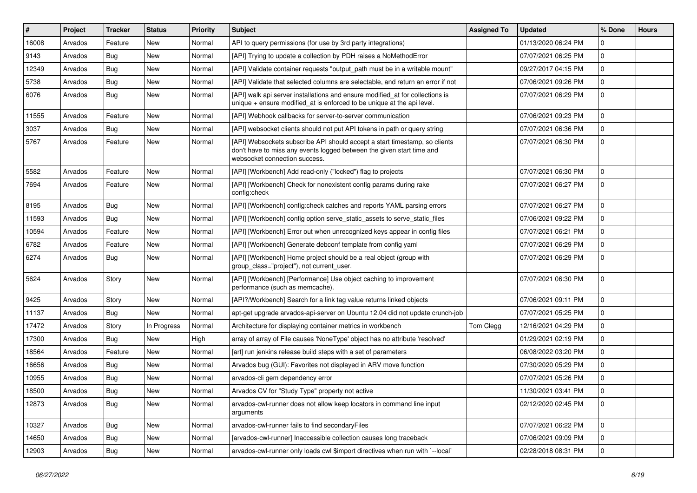| $\#$  | Project | <b>Tracker</b> | <b>Status</b> | <b>Priority</b> | <b>Subject</b>                                                                                                                                                                       | <b>Assigned To</b> | <b>Updated</b>      | % Done      | <b>Hours</b> |
|-------|---------|----------------|---------------|-----------------|--------------------------------------------------------------------------------------------------------------------------------------------------------------------------------------|--------------------|---------------------|-------------|--------------|
| 16008 | Arvados | Feature        | New           | Normal          | API to query permissions (for use by 3rd party integrations)                                                                                                                         |                    | 01/13/2020 06:24 PM | 0           |              |
| 9143  | Arvados | <b>Bug</b>     | <b>New</b>    | Normal          | [API] Trying to update a collection by PDH raises a NoMethodError                                                                                                                    |                    | 07/07/2021 06:25 PM | $\mathbf 0$ |              |
| 12349 | Arvados | <b>Bug</b>     | New           | Normal          | [API] Validate container requests "output_path must be in a writable mount"                                                                                                          |                    | 09/27/2017 04:15 PM | $\mathbf 0$ |              |
| 5738  | Arvados | <b>Bug</b>     | New           | Normal          | [API] Validate that selected columns are selectable, and return an error if not                                                                                                      |                    | 07/06/2021 09:26 PM | $\mathbf 0$ |              |
| 6076  | Arvados | Bug            | New           | Normal          | [API] walk api server installations and ensure modified_at for collections is<br>unique $+$ ensure modified_at is enforced to be unique at the api level.                            |                    | 07/07/2021 06:29 PM | $\mathbf 0$ |              |
| 11555 | Arvados | Feature        | New           | Normal          | [API] Webhook callbacks for server-to-server communication                                                                                                                           |                    | 07/06/2021 09:23 PM | $\Omega$    |              |
| 3037  | Arvados | Bug            | New           | Normal          | [API] websocket clients should not put API tokens in path or query string                                                                                                            |                    | 07/07/2021 06:36 PM | $\mathbf 0$ |              |
| 5767  | Arvados | Feature        | New           | Normal          | [API] Websockets subscribe API should accept a start timestamp, so clients<br>don't have to miss any events logged between the given start time and<br>websocket connection success. |                    | 07/07/2021 06:30 PM | $\mathbf 0$ |              |
| 5582  | Arvados | Feature        | New           | Normal          | [API] [Workbench] Add read-only ("locked") flag to projects                                                                                                                          |                    | 07/07/2021 06:30 PM | $\mathbf 0$ |              |
| 7694  | Arvados | Feature        | New           | Normal          | [API] [Workbench] Check for nonexistent config params during rake<br>config:check                                                                                                    |                    | 07/07/2021 06:27 PM | $\mathbf 0$ |              |
| 8195  | Arvados | <b>Bug</b>     | New           | Normal          | [API] [Workbench] config:check catches and reports YAML parsing errors                                                                                                               |                    | 07/07/2021 06:27 PM | $\mathbf 0$ |              |
| 11593 | Arvados | <b>Bug</b>     | New           | Normal          | [API] [Workbench] config option serve_static_assets to serve_static_files                                                                                                            |                    | 07/06/2021 09:22 PM | $\mathbf 0$ |              |
| 10594 | Arvados | Feature        | New           | Normal          | [API] [Workbench] Error out when unrecognized keys appear in config files                                                                                                            |                    | 07/07/2021 06:21 PM | $\mathbf 0$ |              |
| 6782  | Arvados | Feature        | New           | Normal          | [API] [Workbench] Generate debconf template from config yaml                                                                                                                         |                    | 07/07/2021 06:29 PM | $\mathbf 0$ |              |
| 6274  | Arvados | <b>Bug</b>     | New           | Normal          | [API] [Workbench] Home project should be a real object (group with<br>group_class="project"), not current_user.                                                                      |                    | 07/07/2021 06:29 PM | $\mathbf 0$ |              |
| 5624  | Arvados | Story          | New           | Normal          | [API] [Workbench] [Performance] Use object caching to improvement<br>performance (such as memcache).                                                                                 |                    | 07/07/2021 06:30 PM | $\mathbf 0$ |              |
| 9425  | Arvados | Story          | New           | Normal          | [API?/Workbench] Search for a link tag value returns linked objects                                                                                                                  |                    | 07/06/2021 09:11 PM | $\mathbf 0$ |              |
| 11137 | Arvados | <b>Bug</b>     | New           | Normal          | apt-get upgrade arvados-api-server on Ubuntu 12.04 did not update crunch-job                                                                                                         |                    | 07/07/2021 05:25 PM | $\mathbf 0$ |              |
| 17472 | Arvados | Story          | In Progress   | Normal          | Architecture for displaying container metrics in workbench                                                                                                                           | Tom Clegg          | 12/16/2021 04:29 PM | $\mathbf 0$ |              |
| 17300 | Arvados | <b>Bug</b>     | New           | High            | array of array of File causes 'NoneType' object has no attribute 'resolved'                                                                                                          |                    | 01/29/2021 02:19 PM | $\mathbf 0$ |              |
| 18564 | Arvados | Feature        | New           | Normal          | [art] run jenkins release build steps with a set of parameters                                                                                                                       |                    | 06/08/2022 03:20 PM | 0           |              |
| 16656 | Arvados | <b>Bug</b>     | New           | Normal          | Arvados bug (GUI): Favorites not displayed in ARV move function                                                                                                                      |                    | 07/30/2020 05:29 PM | $\mathbf 0$ |              |
| 10955 | Arvados | <b>Bug</b>     | New           | Normal          | arvados-cli gem dependency error                                                                                                                                                     |                    | 07/07/2021 05:26 PM | $\mathbf 0$ |              |
| 18500 | Arvados | <b>Bug</b>     | New           | Normal          | Arvados CV for "Study Type" property not active                                                                                                                                      |                    | 11/30/2021 03:41 PM | $\mathbf 0$ |              |
| 12873 | Arvados | Bug            | New           | Normal          | arvados-cwl-runner does not allow keep locators in command line input<br>arguments                                                                                                   |                    | 02/12/2020 02:45 PM | 0           |              |
| 10327 | Arvados | Bug            | New           | Normal          | arvados-cwl-runner fails to find secondaryFiles                                                                                                                                      |                    | 07/07/2021 06:22 PM | $\mathbf 0$ |              |
| 14650 | Arvados | <b>Bug</b>     | New           | Normal          | [arvados-cwl-runner] Inaccessible collection causes long traceback                                                                                                                   |                    | 07/06/2021 09:09 PM | $\mathbf 0$ |              |
| 12903 | Arvados | <b>Bug</b>     | New           | Normal          | arvados-cwl-runner only loads cwl \$import directives when run with `--local`                                                                                                        |                    | 02/28/2018 08:31 PM | $\mathbf 0$ |              |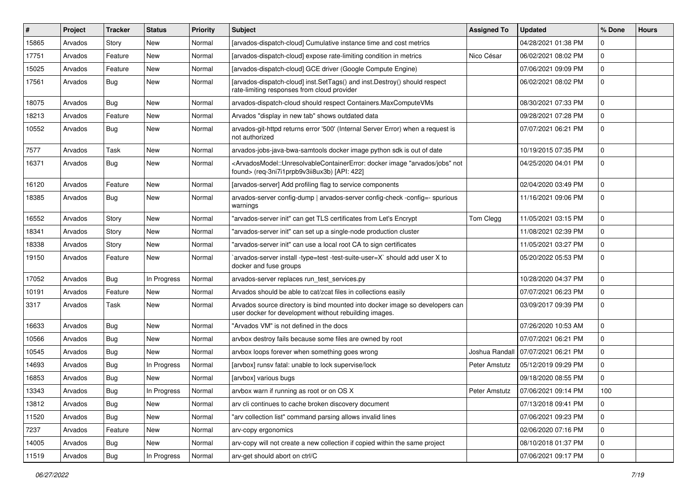| $\#$  | Project | <b>Tracker</b> | <b>Status</b> | <b>Priority</b> | <b>Subject</b>                                                                                                                                                                           | <b>Assigned To</b> | <b>Updated</b>      | % Done      | <b>Hours</b> |
|-------|---------|----------------|---------------|-----------------|------------------------------------------------------------------------------------------------------------------------------------------------------------------------------------------|--------------------|---------------------|-------------|--------------|
| 15865 | Arvados | Story          | New           | Normal          | [arvados-dispatch-cloud] Cumulative instance time and cost metrics                                                                                                                       |                    | 04/28/2021 01:38 PM | 0           |              |
| 17751 | Arvados | Feature        | New           | Normal          | [arvados-dispatch-cloud] expose rate-limiting condition in metrics                                                                                                                       | Nico César         | 06/02/2021 08:02 PM | $\mathbf 0$ |              |
| 15025 | Arvados | Feature        | New           | Normal          | [arvados-dispatch-cloud] GCE driver (Google Compute Engine)                                                                                                                              |                    | 07/06/2021 09:09 PM | $\mathbf 0$ |              |
| 17561 | Arvados | <b>Bug</b>     | New           | Normal          | [arvados-dispatch-cloud] inst.SetTags() and inst.Destroy() should respect<br>rate-limiting responses from cloud provider                                                                 |                    | 06/02/2021 08:02 PM | $\mathbf 0$ |              |
| 18075 | Arvados | <b>Bug</b>     | New           | Normal          | arvados-dispatch-cloud should respect Containers.MaxComputeVMs                                                                                                                           |                    | 08/30/2021 07:33 PM | 0           |              |
| 18213 | Arvados | Feature        | New           | Normal          | Arvados "display in new tab" shows outdated data                                                                                                                                         |                    | 09/28/2021 07:28 PM | $\mathbf 0$ |              |
| 10552 | Arvados | Bug            | New           | Normal          | arvados-git-httpd returns error '500' (Internal Server Error) when a request is<br>not authorized                                                                                        |                    | 07/07/2021 06:21 PM | $\mathbf 0$ |              |
| 7577  | Arvados | Task           | New           | Normal          | arvados-jobs-java-bwa-samtools docker image python sdk is out of date                                                                                                                    |                    | 10/19/2015 07:35 PM | $\mathbf 0$ |              |
| 16371 | Arvados | <b>Bug</b>     | New           | Normal          | <arvadosmodel::unresolvablecontainererror: "arvados="" docker="" image="" jobs"="" not<br="">found&gt; (req-3ni7i1prpb9v3ii8ux3b) [API: 422]</arvadosmodel::unresolvablecontainererror:> |                    | 04/25/2020 04:01 PM | $\mathbf 0$ |              |
| 16120 | Arvados | Feature        | New           | Normal          | [arvados-server] Add profiling flag to service components                                                                                                                                |                    | 02/04/2020 03:49 PM | 0           |              |
| 18385 | Arvados | <b>Bug</b>     | New           | Normal          | arvados-server config-dump   arvados-server config-check -config=- spurious<br>warnings                                                                                                  |                    | 11/16/2021 09:06 PM | $\mathbf 0$ |              |
| 16552 | Arvados | Story          | New           | Normal          | "arvados-server init" can get TLS certificates from Let's Encrypt                                                                                                                        | Tom Clegg          | 11/05/2021 03:15 PM | $\mathbf 0$ |              |
| 18341 | Arvados | Story          | New           | Normal          | "arvados-server init" can set up a single-node production cluster                                                                                                                        |                    | 11/08/2021 02:39 PM | $\mathbf 0$ |              |
| 18338 | Arvados | Story          | New           | Normal          | "arvados-server init" can use a local root CA to sign certificates                                                                                                                       |                    | 11/05/2021 03:27 PM | $\mathbf 0$ |              |
| 19150 | Arvados | Feature        | New           | Normal          | arvados-server install -type=test -test-suite-user=X` should add user X to<br>docker and fuse groups                                                                                     |                    | 05/20/2022 05:53 PM | $\mathbf 0$ |              |
| 17052 | Arvados | Bug            | In Progress   | Normal          | arvados-server replaces run_test_services.py                                                                                                                                             |                    | 10/28/2020 04:37 PM | 0           |              |
| 10191 | Arvados | Feature        | New           | Normal          | Arvados should be able to cat/zcat files in collections easily                                                                                                                           |                    | 07/07/2021 06:23 PM | $\mathbf 0$ |              |
| 3317  | Arvados | Task           | New           | Normal          | Arvados source directory is bind mounted into docker image so developers can<br>user docker for development without rebuilding images.                                                   |                    | 03/09/2017 09:39 PM | $\mathbf 0$ |              |
| 16633 | Arvados | Bug            | New           | Normal          | "Arvados VM" is not defined in the docs                                                                                                                                                  |                    | 07/26/2020 10:53 AM | 0           |              |
| 10566 | Arvados | Bug            | New           | Normal          | arvbox destroy fails because some files are owned by root                                                                                                                                |                    | 07/07/2021 06:21 PM | $\mathbf 0$ |              |
| 10545 | Arvados | Bug            | New           | Normal          | arvbox loops forever when something goes wrong                                                                                                                                           | Joshua Randall     | 07/07/2021 06:21 PM | 0           |              |
| 14693 | Arvados | Bug            | In Progress   | Normal          | [arvbox] runsv fatal: unable to lock supervise/lock                                                                                                                                      | Peter Amstutz      | 05/12/2019 09:29 PM | $\mathbf 0$ |              |
| 16853 | Arvados | <b>Bug</b>     | New           | Normal          | [arvbox] various bugs                                                                                                                                                                    |                    | 09/18/2020 08:55 PM | $\mathbf 0$ |              |
| 13343 | Arvados | Bug            | In Progress   | Normal          | arvbox warn if running as root or on OS X                                                                                                                                                | Peter Amstutz      | 07/06/2021 09:14 PM | 100         |              |
| 13812 | Arvados | Bug            | New           | Normal          | arv cli continues to cache broken discovery document                                                                                                                                     |                    | 07/13/2018 09:41 PM | $\mathbf 0$ |              |
| 11520 | Arvados | Bug            | New           | Normal          | "arv collection list" command parsing allows invalid lines                                                                                                                               |                    | 07/06/2021 09:23 PM | 0           |              |
| 7237  | Arvados | Feature        | New           | Normal          | arv-copy ergonomics                                                                                                                                                                      |                    | 02/06/2020 07:16 PM | $\mathbf 0$ |              |
| 14005 | Arvados | <b>Bug</b>     | New           | Normal          | arv-copy will not create a new collection if copied within the same project                                                                                                              |                    | 08/10/2018 01:37 PM | 0           |              |
| 11519 | Arvados | Bug            | In Progress   | Normal          | arv-get should abort on ctrl/C                                                                                                                                                           |                    | 07/06/2021 09:17 PM | 0           |              |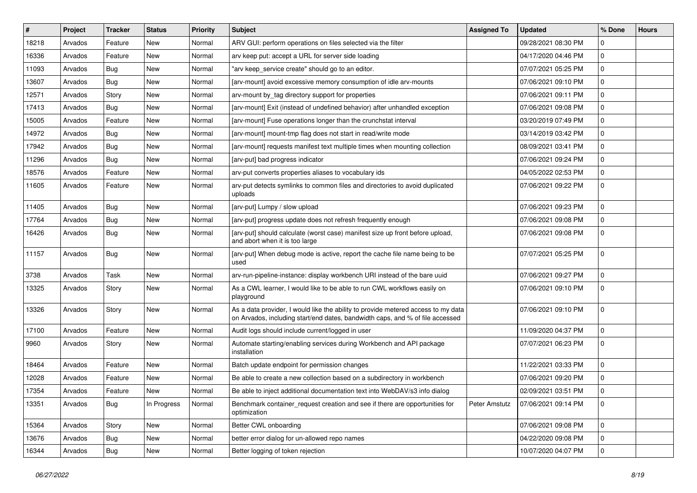| ∦     | Project | <b>Tracker</b> | <b>Status</b> | <b>Priority</b> | <b>Subject</b>                                                                                                                                                     | <b>Assigned To</b> | <b>Updated</b>      | % Done      | <b>Hours</b> |
|-------|---------|----------------|---------------|-----------------|--------------------------------------------------------------------------------------------------------------------------------------------------------------------|--------------------|---------------------|-------------|--------------|
| 18218 | Arvados | Feature        | New           | Normal          | ARV GUI: perform operations on files selected via the filter                                                                                                       |                    | 09/28/2021 08:30 PM | 0           |              |
| 16336 | Arvados | Feature        | New           | Normal          | arv keep put: accept a URL for server side loading                                                                                                                 |                    | 04/17/2020 04:46 PM | $\mathbf 0$ |              |
| 11093 | Arvados | <b>Bug</b>     | New           | Normal          | "arv keep_service create" should go to an editor.                                                                                                                  |                    | 07/07/2021 05:25 PM | $\mathbf 0$ |              |
| 13607 | Arvados | <b>Bug</b>     | New           | Normal          | [arv-mount] avoid excessive memory consumption of idle arv-mounts                                                                                                  |                    | 07/06/2021 09:10 PM | $\mathbf 0$ |              |
| 12571 | Arvados | Story          | New           | Normal          | arv-mount by_tag directory support for properties                                                                                                                  |                    | 07/06/2021 09:11 PM | $\mathbf 0$ |              |
| 17413 | Arvados | <b>Bug</b>     | New           | Normal          | [arv-mount] Exit (instead of undefined behavior) after unhandled exception                                                                                         |                    | 07/06/2021 09:08 PM | $\mathbf 0$ |              |
| 15005 | Arvados | Feature        | New           | Normal          | [arv-mount] Fuse operations longer than the crunchstat interval                                                                                                    |                    | 03/20/2019 07:49 PM | $\Omega$    |              |
| 14972 | Arvados | <b>Bug</b>     | New           | Normal          | [arv-mount] mount-tmp flag does not start in read/write mode                                                                                                       |                    | 03/14/2019 03:42 PM | 0           |              |
| 17942 | Arvados | <b>Bug</b>     | New           | Normal          | [arv-mount] requests manifest text multiple times when mounting collection                                                                                         |                    | 08/09/2021 03:41 PM | $\mathbf 0$ |              |
| 11296 | Arvados | <b>Bug</b>     | New           | Normal          | [arv-put] bad progress indicator                                                                                                                                   |                    | 07/06/2021 09:24 PM | $\mathbf 0$ |              |
| 18576 | Arvados | Feature        | New           | Normal          | arv-put converts properties aliases to vocabulary ids                                                                                                              |                    | 04/05/2022 02:53 PM | $\mathbf 0$ |              |
| 11605 | Arvados | Feature        | New           | Normal          | arv-put detects symlinks to common files and directories to avoid duplicated<br>uploads                                                                            |                    | 07/06/2021 09:22 PM | $\mathbf 0$ |              |
| 11405 | Arvados | <b>Bug</b>     | New           | Normal          | [arv-put] Lumpy / slow upload                                                                                                                                      |                    | 07/06/2021 09:23 PM | $\Omega$    |              |
| 17764 | Arvados | <b>Bug</b>     | New           | Normal          | [arv-put] progress update does not refresh frequently enough                                                                                                       |                    | 07/06/2021 09:08 PM | $\mathbf 0$ |              |
| 16426 | Arvados | <b>Bug</b>     | New           | Normal          | [arv-put] should calculate (worst case) manifest size up front before upload,<br>and abort when it is too large                                                    |                    | 07/06/2021 09:08 PM | $\mathbf 0$ |              |
| 11157 | Arvados | <b>Bug</b>     | New           | Normal          | [arv-put] When debug mode is active, report the cache file name being to be<br>used                                                                                |                    | 07/07/2021 05:25 PM | $\mathbf 0$ |              |
| 3738  | Arvados | Task           | New           | Normal          | arv-run-pipeline-instance: display workbench URI instead of the bare uuid                                                                                          |                    | 07/06/2021 09:27 PM | $\mathbf 0$ |              |
| 13325 | Arvados | Story          | New           | Normal          | As a CWL learner, I would like to be able to run CWL workflows easily on<br>playground                                                                             |                    | 07/06/2021 09:10 PM | $\mathbf 0$ |              |
| 13326 | Arvados | Story          | New           | Normal          | As a data provider, I would like the ability to provide metered access to my data<br>on Arvados, including start/end dates, bandwidth caps, and % of file accessed |                    | 07/06/2021 09:10 PM | $\mathbf 0$ |              |
| 17100 | Arvados | Feature        | New           | Normal          | Audit logs should include current/logged in user                                                                                                                   |                    | 11/09/2020 04:37 PM | $\Omega$    |              |
| 9960  | Arvados | Story          | New           | Normal          | Automate starting/enabling services during Workbench and API package<br>installation                                                                               |                    | 07/07/2021 06:23 PM | $\mathbf 0$ |              |
| 18464 | Arvados | Feature        | New           | Normal          | Batch update endpoint for permission changes                                                                                                                       |                    | 11/22/2021 03:33 PM | $\mathbf 0$ |              |
| 12028 | Arvados | Feature        | New           | Normal          | Be able to create a new collection based on a subdirectory in workbench                                                                                            |                    | 07/06/2021 09:20 PM | $\mathbf 0$ |              |
| 17354 | Arvados | Feature        | New           | Normal          | Be able to inject additional documentation text into WebDAV/s3 info dialog                                                                                         |                    | 02/09/2021 03:51 PM | $\mathbf 0$ |              |
| 13351 | Arvados | <b>Bug</b>     | In Progress   | Normal          | Benchmark container request creation and see if there are opportunities for<br>optimization                                                                        | Peter Amstutz      | 07/06/2021 09:14 PM | 0           |              |
| 15364 | Arvados | Story          | New           | Normal          | Better CWL onboarding                                                                                                                                              |                    | 07/06/2021 09:08 PM | $\mathbf 0$ |              |
| 13676 | Arvados | <b>Bug</b>     | New           | Normal          | better error dialog for un-allowed repo names                                                                                                                      |                    | 04/22/2020 09:08 PM | $\mathbf 0$ |              |
| 16344 | Arvados | <b>Bug</b>     | New           | Normal          | Better logging of token rejection                                                                                                                                  |                    | 10/07/2020 04:07 PM | 0           |              |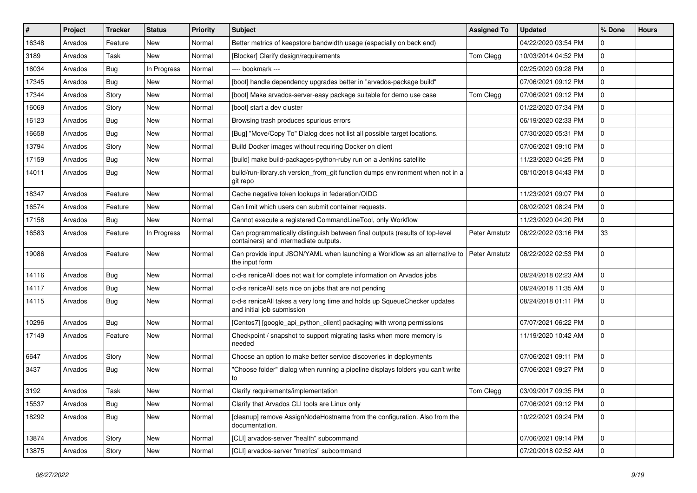| $\#$  | Project | <b>Tracker</b> | <b>Status</b> | <b>Priority</b> | <b>Subject</b>                                                                                                        | <b>Assigned To</b> | <b>Updated</b>      | % Done      | <b>Hours</b> |
|-------|---------|----------------|---------------|-----------------|-----------------------------------------------------------------------------------------------------------------------|--------------------|---------------------|-------------|--------------|
| 16348 | Arvados | Feature        | New           | Normal          | Better metrics of keepstore bandwidth usage (especially on back end)                                                  |                    | 04/22/2020 03:54 PM | 0           |              |
| 3189  | Arvados | Task           | New           | Normal          | [Blocker] Clarify design/requirements                                                                                 | Tom Clegg          | 10/03/2014 04:52 PM | $\mathbf 0$ |              |
| 16034 | Arvados | <b>Bug</b>     | In Progress   | Normal          | ---- bookmark ---                                                                                                     |                    | 02/25/2020 09:28 PM | 0           |              |
| 17345 | Arvados | <b>Bug</b>     | New           | Normal          | [boot] handle dependency upgrades better in "arvados-package build"                                                   |                    | 07/06/2021 09:12 PM | 0           |              |
| 17344 | Arvados | Story          | New           | Normal          | [boot] Make arvados-server-easy package suitable for demo use case                                                    | Tom Clegg          | 07/06/2021 09:12 PM | 0           |              |
| 16069 | Arvados | Story          | New           | Normal          | [boot] start a dev cluster                                                                                            |                    | 01/22/2020 07:34 PM | 0           |              |
| 16123 | Arvados | <b>Bug</b>     | New           | Normal          | Browsing trash produces spurious errors                                                                               |                    | 06/19/2020 02:33 PM | $\pmb{0}$   |              |
| 16658 | Arvados | <b>Bug</b>     | New           | Normal          | [Bug] "Move/Copy To" Dialog does not list all possible target locations.                                              |                    | 07/30/2020 05:31 PM | $\pmb{0}$   |              |
| 13794 | Arvados | Story          | New           | Normal          | Build Docker images without requiring Docker on client                                                                |                    | 07/06/2021 09:10 PM | 0           |              |
| 17159 | Arvados | Bug            | New           | Normal          | [build] make build-packages-python-ruby run on a Jenkins satellite                                                    |                    | 11/23/2020 04:25 PM | 0           |              |
| 14011 | Arvados | <b>Bug</b>     | New           | Normal          | build/run-library.sh version_from_git function dumps environment when not in a<br>git repo                            |                    | 08/10/2018 04:43 PM | 0           |              |
| 18347 | Arvados | Feature        | New           | Normal          | Cache negative token lookups in federation/OIDC                                                                       |                    | 11/23/2021 09:07 PM | 0           |              |
| 16574 | Arvados | Feature        | New           | Normal          | Can limit which users can submit container requests.                                                                  |                    | 08/02/2021 08:24 PM | $\mathbf 0$ |              |
| 17158 | Arvados | <b>Bug</b>     | New           | Normal          | Cannot execute a registered CommandLineTool, only Workflow                                                            |                    | 11/23/2020 04:20 PM | $\pmb{0}$   |              |
| 16583 | Arvados | Feature        | In Progress   | Normal          | Can programmatically distinguish between final outputs (results of top-level<br>containers) and intermediate outputs. | Peter Amstutz      | 06/22/2022 03:16 PM | 33          |              |
| 19086 | Arvados | Feature        | New           | Normal          | Can provide input JSON/YAML when launching a Workflow as an alternative to Peter Amstutz<br>the input form            |                    | 06/22/2022 02:53 PM | $\mathbf 0$ |              |
| 14116 | Arvados | Bug            | New           | Normal          | c-d-s reniceAll does not wait for complete information on Arvados jobs                                                |                    | 08/24/2018 02:23 AM | 0           |              |
| 14117 | Arvados | <b>Bug</b>     | New           | Normal          | c-d-s reniceAll sets nice on jobs that are not pending                                                                |                    | 08/24/2018 11:35 AM | $\mathbf 0$ |              |
| 14115 | Arvados | <b>Bug</b>     | New           | Normal          | c-d-s reniceAll takes a very long time and holds up SqueueChecker updates<br>and initial job submission               |                    | 08/24/2018 01:11 PM | 0           |              |
| 10296 | Arvados | <b>Bug</b>     | New           | Normal          | [Centos7] [google_api_python_client] packaging with wrong permissions                                                 |                    | 07/07/2021 06:22 PM | 0           |              |
| 17149 | Arvados | Feature        | New           | Normal          | Checkpoint / snapshot to support migrating tasks when more memory is<br>needed                                        |                    | 11/19/2020 10:42 AM | $\mathbf 0$ |              |
| 6647  | Arvados | Story          | New           | Normal          | Choose an option to make better service discoveries in deployments                                                    |                    | 07/06/2021 09:11 PM | 0           |              |
| 3437  | Arvados | Bug            | New           | Normal          | "Choose folder" dialog when running a pipeline displays folders you can't write<br>to                                 |                    | 07/06/2021 09:27 PM | 0           |              |
| 3192  | Arvados | Task           | New           | Normal          | Clarify requirements/implementation                                                                                   | Tom Clegg          | 03/09/2017 09:35 PM | $\Omega$    |              |
| 15537 | Arvados | Bug            | New           | Normal          | Clarify that Arvados CLI tools are Linux only                                                                         |                    | 07/06/2021 09:12 PM | $\mathbf 0$ |              |
| 18292 | Arvados | <b>Bug</b>     | New           | Normal          | [cleanup] remove AssignNodeHostname from the configuration. Also from the<br>documentation.                           |                    | 10/22/2021 09:24 PM | $\mathbf 0$ |              |
| 13874 | Arvados | Story          | New           | Normal          | [CLI] arvados-server "health" subcommand                                                                              |                    | 07/06/2021 09:14 PM | $\pmb{0}$   |              |
| 13875 | Arvados | Story          | New           | Normal          | [CLI] arvados-server "metrics" subcommand                                                                             |                    | 07/20/2018 02:52 AM | $\mathbf 0$ |              |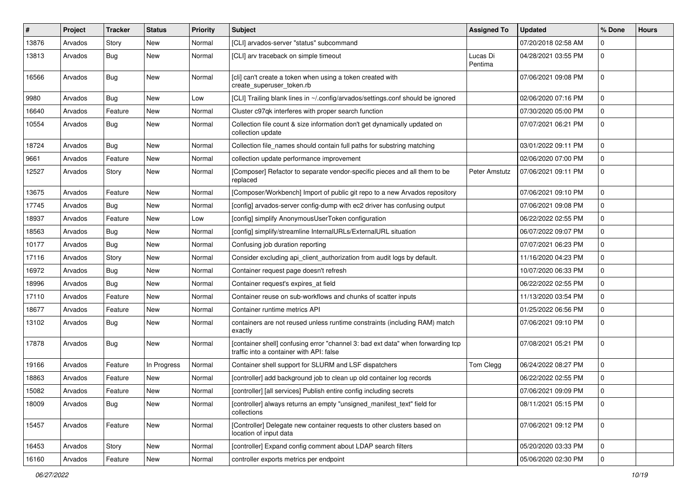| #     | Project | <b>Tracker</b> | <b>Status</b> | <b>Priority</b> | Subject                                                                                                                     | <b>Assigned To</b>  | <b>Updated</b>      | % Done      | <b>Hours</b> |
|-------|---------|----------------|---------------|-----------------|-----------------------------------------------------------------------------------------------------------------------------|---------------------|---------------------|-------------|--------------|
| 13876 | Arvados | Story          | New           | Normal          | [CLI] arvados-server "status" subcommand                                                                                    |                     | 07/20/2018 02:58 AM | $\Omega$    |              |
| 13813 | Arvados | <b>Bug</b>     | New           | Normal          | [CLI] arv traceback on simple timeout                                                                                       | Lucas Di<br>Pentima | 04/28/2021 03:55 PM | $\mathbf 0$ |              |
| 16566 | Arvados | Bug            | New           | Normal          | [cli] can't create a token when using a token created with<br>create_superuser_token.rb                                     |                     | 07/06/2021 09:08 PM | $\mathbf 0$ |              |
| 9980  | Arvados | Bug            | New           | Low             | [CLI] Trailing blank lines in ~/.config/arvados/settings.conf should be ignored                                             |                     | 02/06/2020 07:16 PM | $\mathbf 0$ |              |
| 16640 | Arvados | Feature        | New           | Normal          | Cluster c97qk interferes with proper search function                                                                        |                     | 07/30/2020 05:00 PM | $\mathbf 0$ |              |
| 10554 | Arvados | <b>Bug</b>     | New           | Normal          | Collection file count & size information don't get dynamically updated on<br>collection update                              |                     | 07/07/2021 06:21 PM | 0           |              |
| 18724 | Arvados | <b>Bug</b>     | New           | Normal          | Collection file_names should contain full paths for substring matching                                                      |                     | 03/01/2022 09:11 PM | $\mathbf 0$ |              |
| 9661  | Arvados | Feature        | New           | Normal          | collection update performance improvement                                                                                   |                     | 02/06/2020 07:00 PM | $\mathbf 0$ |              |
| 12527 | Arvados | Story          | New           | Normal          | [Composer] Refactor to separate vendor-specific pieces and all them to be<br>replaced                                       | Peter Amstutz       | 07/06/2021 09:11 PM | $\mathbf 0$ |              |
| 13675 | Arvados | Feature        | New           | Normal          | [Composer/Workbench] Import of public git repo to a new Arvados repository                                                  |                     | 07/06/2021 09:10 PM | $\mathbf 0$ |              |
| 17745 | Arvados | <b>Bug</b>     | New           | Normal          | [config] arvados-server config-dump with ec2 driver has confusing output                                                    |                     | 07/06/2021 09:08 PM | $\Omega$    |              |
| 18937 | Arvados | Feature        | New           | Low             | [config] simplify AnonymousUserToken configuration                                                                          |                     | 06/22/2022 02:55 PM | 0           |              |
| 18563 | Arvados | <b>Bug</b>     | New           | Normal          | [config] simplify/streamline InternalURLs/ExternalURL situation                                                             |                     | 06/07/2022 09:07 PM | $\mathbf 0$ |              |
| 10177 | Arvados | <b>Bug</b>     | New           | Normal          | Confusing job duration reporting                                                                                            |                     | 07/07/2021 06:23 PM | $\mathbf 0$ |              |
| 17116 | Arvados | Story          | New           | Normal          | Consider excluding api_client_authorization from audit logs by default.                                                     |                     | 11/16/2020 04:23 PM | $\mathbf 0$ |              |
| 16972 | Arvados | <b>Bug</b>     | New           | Normal          | Container request page doesn't refresh                                                                                      |                     | 10/07/2020 06:33 PM | $\mathbf 0$ |              |
| 18996 | Arvados | <b>Bug</b>     | New           | Normal          | Container request's expires_at field                                                                                        |                     | 06/22/2022 02:55 PM | 0           |              |
| 17110 | Arvados | Feature        | New           | Normal          | Container reuse on sub-workflows and chunks of scatter inputs                                                               |                     | 11/13/2020 03:54 PM | $\mathbf 0$ |              |
| 18677 | Arvados | Feature        | New           | Normal          | Container runtime metrics API                                                                                               |                     | 01/25/2022 06:56 PM | $\mathbf 0$ |              |
| 13102 | Arvados | <b>Bug</b>     | New           | Normal          | containers are not reused unless runtime constraints (including RAM) match<br>exactly                                       |                     | 07/06/2021 09:10 PM | $\mathbf 0$ |              |
| 17878 | Arvados | <b>Bug</b>     | New           | Normal          | [container shell] confusing error "channel 3: bad ext data" when forwarding tcp<br>traffic into a container with API: false |                     | 07/08/2021 05:21 PM | $\mathbf 0$ |              |
| 19166 | Arvados | Feature        | In Progress   | Normal          | Container shell support for SLURM and LSF dispatchers                                                                       | Tom Clegg           | 06/24/2022 08:27 PM | $\mathbf 0$ |              |
| 18863 | Arvados | Feature        | New           | Normal          | [controller] add background job to clean up old container log records                                                       |                     | 06/22/2022 02:55 PM | $\mathbf 0$ |              |
| 15082 | Arvados | Feature        | New           | Normal          | [controller] [all services] Publish entire config including secrets                                                         |                     | 07/06/2021 09:09 PM | $\Omega$    |              |
| 18009 | Arvados | <b>Bug</b>     | New           | Normal          | [controller] always returns an empty "unsigned_manifest_text" field for<br>collections                                      |                     | 08/11/2021 05:15 PM | 0           |              |
| 15457 | Arvados | Feature        | New           | Normal          | [Controller] Delegate new container requests to other clusters based on<br>location of input data                           |                     | 07/06/2021 09:12 PM | $\mathbf 0$ |              |
| 16453 | Arvados | Story          | New           | Normal          | [controller] Expand config comment about LDAP search filters                                                                |                     | 05/20/2020 03:33 PM | $\mathbf 0$ |              |
| 16160 | Arvados | Feature        | New           | Normal          | controller exports metrics per endpoint                                                                                     |                     | 05/06/2020 02:30 PM | 0           |              |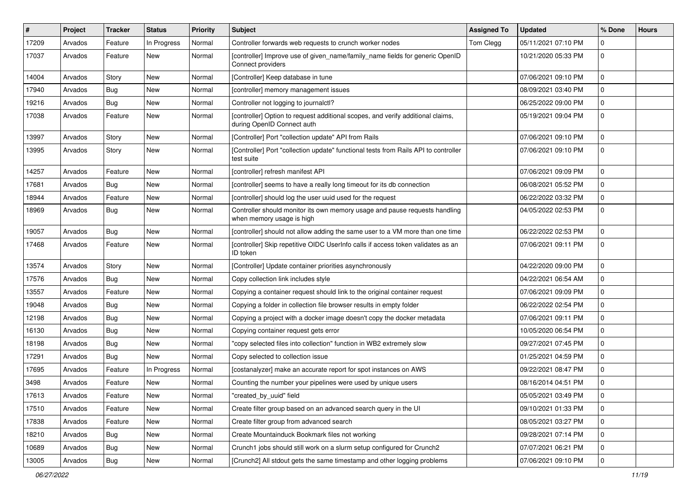| ∦     | Project | <b>Tracker</b> | <b>Status</b> | <b>Priority</b> | <b>Subject</b>                                                                                                | <b>Assigned To</b> | <b>Updated</b>      | % Done      | <b>Hours</b> |
|-------|---------|----------------|---------------|-----------------|---------------------------------------------------------------------------------------------------------------|--------------------|---------------------|-------------|--------------|
| 17209 | Arvados | Feature        | In Progress   | Normal          | Controller forwards web requests to crunch worker nodes                                                       | Tom Clegg          | 05/11/2021 07:10 PM | $\Omega$    |              |
| 17037 | Arvados | Feature        | New           | Normal          | [controller] Improve use of given_name/family_name fields for generic OpenID<br>Connect providers             |                    | 10/21/2020 05:33 PM | $\mathbf 0$ |              |
| 14004 | Arvados | Story          | New           | Normal          | [Controller] Keep database in tune                                                                            |                    | 07/06/2021 09:10 PM | $\mathbf 0$ |              |
| 17940 | Arvados | <b>Bug</b>     | New           | Normal          | [controller] memory management issues                                                                         |                    | 08/09/2021 03:40 PM | $\mathbf 0$ |              |
| 19216 | Arvados | <b>Bug</b>     | New           | Normal          | Controller not logging to journalctl?                                                                         |                    | 06/25/2022 09:00 PM | 0           |              |
| 17038 | Arvados | Feature        | New           | Normal          | [controller] Option to request additional scopes, and verify additional claims,<br>during OpenID Connect auth |                    | 05/19/2021 09:04 PM | $\mathbf 0$ |              |
| 13997 | Arvados | Story          | New           | Normal          | [Controller] Port "collection update" API from Rails                                                          |                    | 07/06/2021 09:10 PM | $\mathbf 0$ |              |
| 13995 | Arvados | Story          | New           | Normal          | [Controller] Port "collection update" functional tests from Rails API to controller<br>test suite             |                    | 07/06/2021 09:10 PM | $\mathbf 0$ |              |
| 14257 | Arvados | Feature        | New           | Normal          | [controller] refresh manifest API                                                                             |                    | 07/06/2021 09:09 PM | 0           |              |
| 17681 | Arvados | <b>Bug</b>     | <b>New</b>    | Normal          | [controller] seems to have a really long timeout for its db connection                                        |                    | 06/08/2021 05:52 PM | $\mathbf 0$ |              |
| 18944 | Arvados | Feature        | New           | Normal          | [controller] should log the user uuid used for the request                                                    |                    | 06/22/2022 03:32 PM | 0           |              |
| 18969 | Arvados | Bug            | New           | Normal          | Controller should monitor its own memory usage and pause requests handling<br>when memory usage is high       |                    | 04/05/2022 02:53 PM | $\mathbf 0$ |              |
| 19057 | Arvados | <b>Bug</b>     | New           | Normal          | [controller] should not allow adding the same user to a VM more than one time                                 |                    | 06/22/2022 02:53 PM | $\mathbf 0$ |              |
| 17468 | Arvados | Feature        | New           | Normal          | [controller] Skip repetitive OIDC UserInfo calls if access token validates as an<br>ID token                  |                    | 07/06/2021 09:11 PM | $\mathbf 0$ |              |
| 13574 | Arvados | Story          | New           | Normal          | [Controller] Update container priorities asynchronously                                                       |                    | 04/22/2020 09:00 PM | $\mathbf 0$ |              |
| 17576 | Arvados | <b>Bug</b>     | New           | Normal          | Copy collection link includes style                                                                           |                    | 04/22/2021 06:54 AM | $\mathbf 0$ |              |
| 13557 | Arvados | Feature        | New           | Normal          | Copying a container request should link to the original container request                                     |                    | 07/06/2021 09:09 PM | 0           |              |
| 19048 | Arvados | <b>Bug</b>     | New           | Normal          | Copying a folder in collection file browser results in empty folder                                           |                    | 06/22/2022 02:54 PM | $\pmb{0}$   |              |
| 12198 | Arvados | <b>Bug</b>     | New           | Normal          | Copying a project with a docker image doesn't copy the docker metadata                                        |                    | 07/06/2021 09:11 PM | $\mathbf 0$ |              |
| 16130 | Arvados | <b>Bug</b>     | New           | Normal          | Copying container request gets error                                                                          |                    | 10/05/2020 06:54 PM | $\mathbf 0$ |              |
| 18198 | Arvados | <b>Bug</b>     | New           | Normal          | 'copy selected files into collection" function in WB2 extremely slow                                          |                    | 09/27/2021 07:45 PM | $\mathbf 0$ |              |
| 17291 | Arvados | <b>Bug</b>     | New           | Normal          | Copy selected to collection issue                                                                             |                    | 01/25/2021 04:59 PM | $\mathbf 0$ |              |
| 17695 | Arvados | Feature        | In Progress   | Normal          | [costanalyzer] make an accurate report for spot instances on AWS                                              |                    | 09/22/2021 08:47 PM | $\pmb{0}$   |              |
| 3498  | Arvados | Feature        | New           | Normal          | Counting the number your pipelines were used by unique users                                                  |                    | 08/16/2014 04:51 PM | $\mathbf 0$ |              |
| 17613 | Arvados | Feature        | New           | Normal          | 'created by uuid" field                                                                                       |                    | 05/05/2021 03:49 PM | $\bf{0}$    |              |
| 17510 | Arvados | Feature        | New           | Normal          | Create filter group based on an advanced search query in the UI                                               |                    | 09/10/2021 01:33 PM | $\pmb{0}$   |              |
| 17838 | Arvados | Feature        | New           | Normal          | Create filter group from advanced search                                                                      |                    | 08/05/2021 03:27 PM | 0           |              |
| 18210 | Arvados | <b>Bug</b>     | New           | Normal          | Create Mountainduck Bookmark files not working                                                                |                    | 09/28/2021 07:14 PM | $\mathbf 0$ |              |
| 10689 | Arvados | <b>Bug</b>     | New           | Normal          | Crunch1 jobs should still work on a slurm setup configured for Crunch2                                        |                    | 07/07/2021 06:21 PM | 0           |              |
| 13005 | Arvados | <b>Bug</b>     | New           | Normal          | [Crunch2] All stdout gets the same timestamp and other logging problems                                       |                    | 07/06/2021 09:10 PM | 0           |              |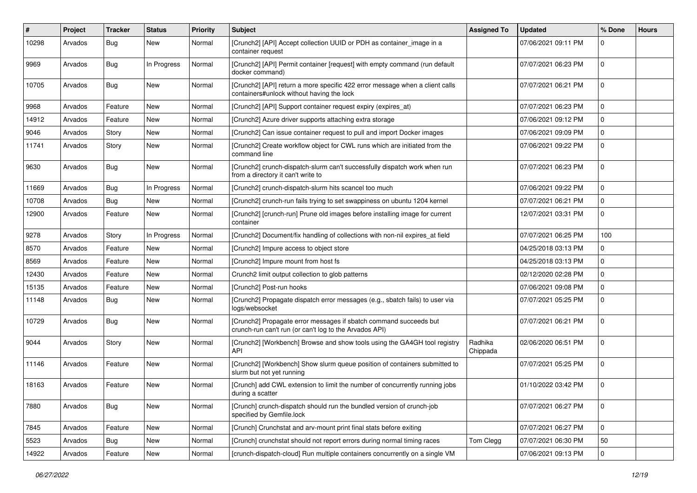| #     | Project | <b>Tracker</b> | <b>Status</b> | <b>Priority</b> | <b>Subject</b>                                                                                                              | <b>Assigned To</b>  | <b>Updated</b>      | % Done      | <b>Hours</b> |
|-------|---------|----------------|---------------|-----------------|-----------------------------------------------------------------------------------------------------------------------------|---------------------|---------------------|-------------|--------------|
| 10298 | Arvados | <b>Bug</b>     | New           | Normal          | [Crunch2] [API] Accept collection UUID or PDH as container_image in a<br>container request                                  |                     | 07/06/2021 09:11 PM | 0           |              |
| 9969  | Arvados | Bug            | In Progress   | Normal          | [Crunch2] [API] Permit container [request] with empty command (run default<br>docker command)                               |                     | 07/07/2021 06:23 PM | $\mathbf 0$ |              |
| 10705 | Arvados | Bug            | New           | Normal          | [Crunch2] [API] return a more specific 422 error message when a client calls<br>containers#unlock without having the lock   |                     | 07/07/2021 06:21 PM | $\mathbf 0$ |              |
| 9968  | Arvados | Feature        | New           | Normal          | [Crunch2] [API] Support container request expiry (expires_at)                                                               |                     | 07/07/2021 06:23 PM | $\mathbf 0$ |              |
| 14912 | Arvados | Feature        | New           | Normal          | [Crunch2] Azure driver supports attaching extra storage                                                                     |                     | 07/06/2021 09:12 PM | 0           |              |
| 9046  | Arvados | Story          | New           | Normal          | [Crunch2] Can issue container request to pull and import Docker images                                                      |                     | 07/06/2021 09:09 PM | $\mathbf 0$ |              |
| 11741 | Arvados | Story          | New           | Normal          | [Crunch2] Create workflow object for CWL runs which are initiated from the<br>command line                                  |                     | 07/06/2021 09:22 PM | $\mathbf 0$ |              |
| 9630  | Arvados | <b>Bug</b>     | New           | Normal          | [Crunch2] crunch-dispatch-slurm can't successfully dispatch work when run<br>from a directory it can't write to             |                     | 07/07/2021 06:23 PM | $\mathbf 0$ |              |
| 11669 | Arvados | Bug            | In Progress   | Normal          | [Crunch2] crunch-dispatch-slurm hits scancel too much                                                                       |                     | 07/06/2021 09:22 PM | 0           |              |
| 10708 | Arvados | Bug            | New           | Normal          | [Crunch2] crunch-run fails trying to set swappiness on ubuntu 1204 kernel                                                   |                     | 07/07/2021 06:21 PM | $\mathbf 0$ |              |
| 12900 | Arvados | Feature        | New           | Normal          | [Crunch2] [crunch-run] Prune old images before installing image for current<br>container                                    |                     | 12/07/2021 03:31 PM | 0           |              |
| 9278  | Arvados | Story          | In Progress   | Normal          | [Crunch2] Document/fix handling of collections with non-nil expires_at field                                                |                     | 07/07/2021 06:25 PM | 100         |              |
| 8570  | Arvados | Feature        | New           | Normal          | [Crunch2] Impure access to object store                                                                                     |                     | 04/25/2018 03:13 PM | 0           |              |
| 8569  | Arvados | Feature        | New           | Normal          | [Crunch2] Impure mount from host fs                                                                                         |                     | 04/25/2018 03:13 PM | $\mathbf 0$ |              |
| 12430 | Arvados | Feature        | New           | Normal          | Crunch2 limit output collection to glob patterns                                                                            |                     | 02/12/2020 02:28 PM | $\mathbf 0$ |              |
| 15135 | Arvados | Feature        | New           | Normal          | [Crunch2] Post-run hooks                                                                                                    |                     | 07/06/2021 09:08 PM | 0           |              |
| 11148 | Arvados | <b>Bug</b>     | New           | Normal          | [Crunch2] Propagate dispatch error messages (e.g., sbatch fails) to user via<br>logs/websocket                              |                     | 07/07/2021 05:25 PM | $\mathbf 0$ |              |
| 10729 | Arvados | Bug            | New           | Normal          | [Crunch2] Propagate error messages if sbatch command succeeds but<br>crunch-run can't run (or can't log to the Arvados API) |                     | 07/07/2021 06:21 PM | $\mathbf 0$ |              |
| 9044  | Arvados | Story          | New           | Normal          | [Crunch2] [Workbench] Browse and show tools using the GA4GH tool registry<br>API                                            | Radhika<br>Chippada | 02/06/2020 06:51 PM | $\mathbf 0$ |              |
| 11146 | Arvados | Feature        | New           | Normal          | [Crunch2] [Workbench] Show slurm queue position of containers submitted to<br>slurm but not yet running                     |                     | 07/07/2021 05:25 PM | $\mathbf 0$ |              |
| 18163 | Arvados | Feature        | New           | Normal          | [Crunch] add CWL extension to limit the number of concurrently running jobs<br>during a scatter                             |                     | 01/10/2022 03:42 PM | $\mathbf 0$ |              |
| 7880  | Arvados | Bug            | New           | Normal          | [Crunch] crunch-dispatch should run the bundled version of crunch-job<br>specified by Gemfile.lock                          |                     | 07/07/2021 06:27 PM | 0           |              |
| 7845  | Arvados | Feature        | New           | Normal          | [Crunch] Crunchstat and arv-mount print final stats before exiting                                                          |                     | 07/07/2021 06:27 PM | $\mathbf 0$ |              |
| 5523  | Arvados | Bug            | New           | Normal          | [Crunch] crunchstat should not report errors during normal timing races                                                     | Tom Clegg           | 07/07/2021 06:30 PM | 50          |              |
| 14922 | Arvados | Feature        | New           | Normal          | [crunch-dispatch-cloud] Run multiple containers concurrently on a single VM                                                 |                     | 07/06/2021 09:13 PM | $\mathbf 0$ |              |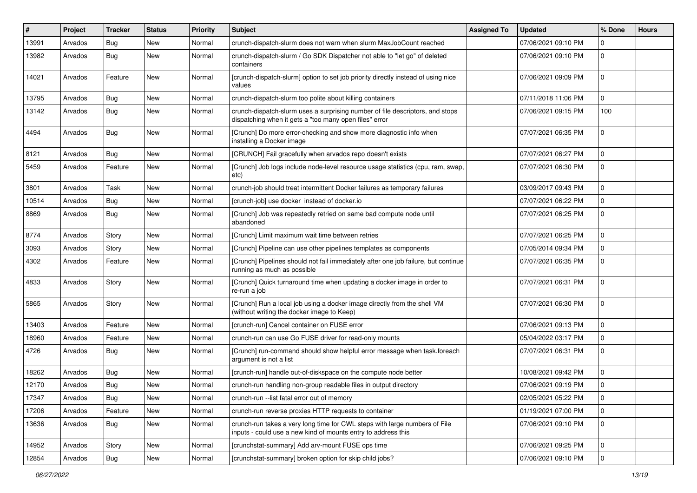| #     | Project | <b>Tracker</b> | <b>Status</b> | <b>Priority</b> | <b>Subject</b>                                                                                                                              | <b>Assigned To</b> | <b>Updated</b>      | % Done      | <b>Hours</b> |
|-------|---------|----------------|---------------|-----------------|---------------------------------------------------------------------------------------------------------------------------------------------|--------------------|---------------------|-------------|--------------|
| 13991 | Arvados | <b>Bug</b>     | New           | Normal          | crunch-dispatch-slurm does not warn when slurm MaxJobCount reached                                                                          |                    | 07/06/2021 09:10 PM | $\Omega$    |              |
| 13982 | Arvados | Bug            | New           | Normal          | crunch-dispatch-slurm / Go SDK Dispatcher not able to "let go" of deleted<br>containers                                                     |                    | 07/06/2021 09:10 PM | $\mathbf 0$ |              |
| 14021 | Arvados | Feature        | New           | Normal          | [crunch-dispatch-slurm] option to set job priority directly instead of using nice<br>values                                                 |                    | 07/06/2021 09:09 PM | $\mathbf 0$ |              |
| 13795 | Arvados | Bug            | <b>New</b>    | Normal          | crunch-dispatch-slurm too polite about killing containers                                                                                   |                    | 07/11/2018 11:06 PM | $\mathbf 0$ |              |
| 13142 | Arvados | Bug            | New           | Normal          | crunch-dispatch-slurm uses a surprising number of file descriptors, and stops<br>dispatching when it gets a "too many open files" error     |                    | 07/06/2021 09:15 PM | 100         |              |
| 4494  | Arvados | Bug            | New           | Normal          | [Crunch] Do more error-checking and show more diagnostic info when<br>installing a Docker image                                             |                    | 07/07/2021 06:35 PM | $\mathbf 0$ |              |
| 8121  | Arvados | Bug            | New           | Normal          | [CRUNCH] Fail gracefully when arvados repo doesn't exists                                                                                   |                    | 07/07/2021 06:27 PM | $\mathbf 0$ |              |
| 5459  | Arvados | Feature        | New           | Normal          | [Crunch] Job logs include node-level resource usage statistics (cpu, ram, swap,<br>etc)                                                     |                    | 07/07/2021 06:30 PM | $\mathbf 0$ |              |
| 3801  | Arvados | Task           | New           | Normal          | crunch-job should treat intermittent Docker failures as temporary failures                                                                  |                    | 03/09/2017 09:43 PM | $\mathbf 0$ |              |
| 10514 | Arvados | <b>Bug</b>     | New           | Normal          | [crunch-job] use docker instead of docker.io                                                                                                |                    | 07/07/2021 06:22 PM | $\Omega$    |              |
| 8869  | Arvados | <b>Bug</b>     | New           | Normal          | [Crunch] Job was repeatedly retried on same bad compute node until<br>abandoned                                                             |                    | 07/07/2021 06:25 PM | $\mathbf 0$ |              |
| 8774  | Arvados | Story          | New           | Normal          | [Crunch] Limit maximum wait time between retries                                                                                            |                    | 07/07/2021 06:25 PM | $\Omega$    |              |
| 3093  | Arvados | Story          | New           | Normal          | [Crunch] Pipeline can use other pipelines templates as components                                                                           |                    | 07/05/2014 09:34 PM | 0           |              |
| 4302  | Arvados | Feature        | New           | Normal          | [Crunch] Pipelines should not fail immediately after one job failure, but continue<br>running as much as possible                           |                    | 07/07/2021 06:35 PM | $\mathbf 0$ |              |
| 4833  | Arvados | Story          | New           | Normal          | [Crunch] Quick turnaround time when updating a docker image in order to<br>re-run a job                                                     |                    | 07/07/2021 06:31 PM | $\mathbf 0$ |              |
| 5865  | Arvados | Story          | New           | Normal          | [Crunch] Run a local job using a docker image directly from the shell VM<br>(without writing the docker image to Keep)                      |                    | 07/07/2021 06:30 PM | $\mathbf 0$ |              |
| 13403 | Arvados | Feature        | New           | Normal          | [crunch-run] Cancel container on FUSE error                                                                                                 |                    | 07/06/2021 09:13 PM | $\Omega$    |              |
| 18960 | Arvados | Feature        | New           | Normal          | crunch-run can use Go FUSE driver for read-only mounts                                                                                      |                    | 05/04/2022 03:17 PM | $\mathbf 0$ |              |
| 4726  | Arvados | <b>Bug</b>     | New           | Normal          | [Crunch] run-command should show helpful error message when task.foreach<br>argument is not a list                                          |                    | 07/07/2021 06:31 PM | $\mathbf 0$ |              |
| 18262 | Arvados | <b>Bug</b>     | New           | Normal          | [crunch-run] handle out-of-diskspace on the compute node better                                                                             |                    | 10/08/2021 09:42 PM | $\mathbf 0$ |              |
| 12170 | Arvados | <b>Bug</b>     | New           | Normal          | crunch-run handling non-group readable files in output directory                                                                            |                    | 07/06/2021 09:19 PM | $\mathbf 0$ |              |
| 17347 | Arvados | <b>Bug</b>     | New           | Normal          | crunch-run --list fatal error out of memory                                                                                                 |                    | 02/05/2021 05:22 PM | l 0         |              |
| 17206 | Arvados | Feature        | New           | Normal          | crunch-run reverse proxies HTTP requests to container                                                                                       |                    | 01/19/2021 07:00 PM | $\mathbf 0$ |              |
| 13636 | Arvados | Bug            | New           | Normal          | crunch-run takes a very long time for CWL steps with large numbers of File<br>inputs - could use a new kind of mounts entry to address this |                    | 07/06/2021 09:10 PM | 0           |              |
| 14952 | Arvados | Story          | New           | Normal          | [crunchstat-summary] Add arv-mount FUSE ops time                                                                                            |                    | 07/06/2021 09:25 PM | $\Omega$    |              |
| 12854 | Arvados | <b>Bug</b>     | New           | Normal          | [crunchstat-summary] broken option for skip child jobs?                                                                                     |                    | 07/06/2021 09:10 PM | 0           |              |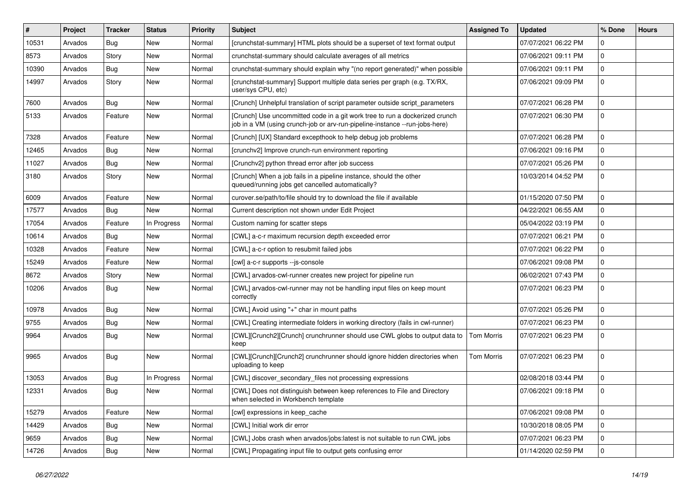| #     | Project | <b>Tracker</b> | <b>Status</b> | <b>Priority</b> | <b>Subject</b>                                                                                                                                             | <b>Assigned To</b> | <b>Updated</b>      | % Done      | <b>Hours</b> |
|-------|---------|----------------|---------------|-----------------|------------------------------------------------------------------------------------------------------------------------------------------------------------|--------------------|---------------------|-------------|--------------|
| 10531 | Arvados | <b>Bug</b>     | New           | Normal          | [crunchstat-summary] HTML plots should be a superset of text format output                                                                                 |                    | 07/07/2021 06:22 PM | 0           |              |
| 8573  | Arvados | Story          | New           | Normal          | crunchstat-summary should calculate averages of all metrics                                                                                                |                    | 07/06/2021 09:11 PM | $\mathbf 0$ |              |
| 10390 | Arvados | Bug            | New           | Normal          | crunchstat-summary should explain why "(no report generated)" when possible                                                                                |                    | 07/06/2021 09:11 PM | $\mathbf 0$ |              |
| 14997 | Arvados | Story          | New           | Normal          | [crunchstat-summary] Support multiple data series per graph (e.g. TX/RX,<br>user/sys CPU, etc)                                                             |                    | 07/06/2021 09:09 PM | $\mathbf 0$ |              |
| 7600  | Arvados | <b>Bug</b>     | New           | Normal          | [Crunch] Unhelpful translation of script parameter outside script parameters                                                                               |                    | 07/07/2021 06:28 PM | $\pmb{0}$   |              |
| 5133  | Arvados | Feature        | New           | Normal          | [Crunch] Use uncommitted code in a git work tree to run a dockerized crunch<br>job in a VM (using crunch-job or arv-run-pipeline-instance --run-jobs-here) |                    | 07/07/2021 06:30 PM | $\mathbf 0$ |              |
| 7328  | Arvados | Feature        | New           | Normal          | [Crunch] [UX] Standard excepthook to help debug job problems                                                                                               |                    | 07/07/2021 06:28 PM | $\mathbf 0$ |              |
| 12465 | Arvados | <b>Bug</b>     | New           | Normal          | [crunchv2] Improve crunch-run environment reporting                                                                                                        |                    | 07/06/2021 09:16 PM | $\mathbf 0$ |              |
| 11027 | Arvados | <b>Bug</b>     | New           | Normal          | [Crunchv2] python thread error after job success                                                                                                           |                    | 07/07/2021 05:26 PM | $\mathbf 0$ |              |
| 3180  | Arvados | Story          | <b>New</b>    | Normal          | [Crunch] When a job fails in a pipeline instance, should the other<br>queued/running jobs get cancelled automatically?                                     |                    | 10/03/2014 04:52 PM | $\mathbf 0$ |              |
| 6009  | Arvados | Feature        | <b>New</b>    | Normal          | curover.se/path/to/file should try to download the file if available                                                                                       |                    | 01/15/2020 07:50 PM | $\pmb{0}$   |              |
| 17577 | Arvados | Bug            | New           | Normal          | Current description not shown under Edit Project                                                                                                           |                    | 04/22/2021 06:55 AM | $\mathbf 0$ |              |
| 17054 | Arvados | Feature        | In Progress   | Normal          | Custom naming for scatter steps                                                                                                                            |                    | 05/04/2022 03:19 PM | $\mathbf 0$ |              |
| 10614 | Arvados | <b>Bug</b>     | New           | Normal          | [CWL] a-c-r maximum recursion depth exceeded error                                                                                                         |                    | 07/07/2021 06:21 PM | $\mathbf 0$ |              |
| 10328 | Arvados | Feature        | New           | Normal          | [CWL] a-c-r option to resubmit failed jobs                                                                                                                 |                    | 07/07/2021 06:22 PM | $\pmb{0}$   |              |
| 15249 | Arvados | Feature        | New           | Normal          | [cwl] a-c-r supports --js-console                                                                                                                          |                    | 07/06/2021 09:08 PM | $\mathbf 0$ |              |
| 8672  | Arvados | Story          | New           | Normal          | [CWL] arvados-cwl-runner creates new project for pipeline run                                                                                              |                    | 06/02/2021 07:43 PM | $\pmb{0}$   |              |
| 10206 | Arvados | <b>Bug</b>     | New           | Normal          | [CWL] arvados-cwl-runner may not be handling input files on keep mount<br>correctly                                                                        |                    | 07/07/2021 06:23 PM | $\mathbf 0$ |              |
| 10978 | Arvados | <b>Bug</b>     | New           | Normal          | [CWL] Avoid using "+" char in mount paths                                                                                                                  |                    | 07/07/2021 05:26 PM | $\pmb{0}$   |              |
| 9755  | Arvados | Bug            | New           | Normal          | [CWL] Creating intermediate folders in working directory (fails in cwl-runner)                                                                             |                    | 07/07/2021 06:23 PM | 0           |              |
| 9964  | Arvados | Bug            | New           | Normal          | [CWL][Crunch2][Crunch] crunchrunner should use CWL globs to output data to<br>keep                                                                         | <b>Tom Morris</b>  | 07/07/2021 06:23 PM | $\mathbf 0$ |              |
| 9965  | Arvados | <b>Bug</b>     | New           | Normal          | [CWL][Crunch][Crunch2] crunchrunner should ignore hidden directories when<br>uploading to keep                                                             | Tom Morris         | 07/07/2021 06:23 PM | 0           |              |
| 13053 | Arvados | <b>Bug</b>     | In Progress   | Normal          | [CWL] discover_secondary_files not processing expressions                                                                                                  |                    | 02/08/2018 03:44 PM | 0           |              |
| 12331 | Arvados | <b>Bug</b>     | New           | Normal          | [CWL] Does not distinguish between keep references to File and Directory<br>when selected in Workbench template                                            |                    | 07/06/2021 09:18 PM | $\mathbf 0$ |              |
| 15279 | Arvados | Feature        | New           | Normal          | [cwl] expressions in keep cache                                                                                                                            |                    | 07/06/2021 09:08 PM | $\mathbf 0$ |              |
| 14429 | Arvados | <b>Bug</b>     | New           | Normal          | [CWL] Initial work dir error                                                                                                                               |                    | 10/30/2018 08:05 PM | 0           |              |
| 9659  | Arvados | <b>Bug</b>     | New           | Normal          | [CWL] Jobs crash when arvados/jobs:latest is not suitable to run CWL jobs                                                                                  |                    | 07/07/2021 06:23 PM | $\mathbf 0$ |              |
| 14726 | Arvados | <b>Bug</b>     | New           | Normal          | [CWL] Propagating input file to output gets confusing error                                                                                                |                    | 01/14/2020 02:59 PM | $\mathbf 0$ |              |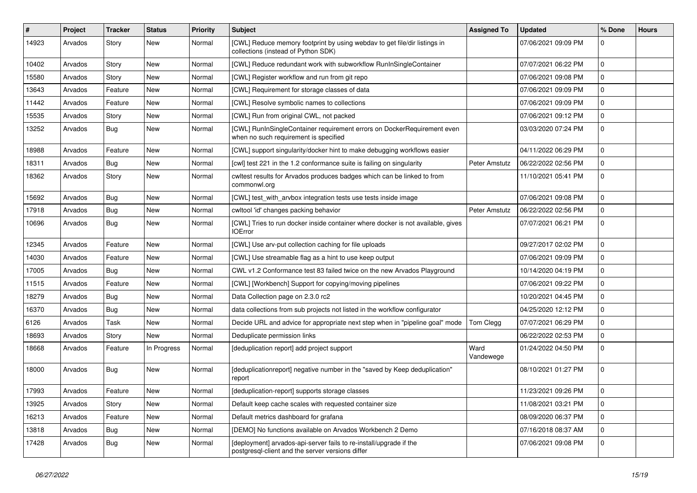| #     | Project | <b>Tracker</b> | <b>Status</b> | <b>Priority</b> | <b>Subject</b>                                                                                                         | <b>Assigned To</b> | <b>Updated</b>      | % Done      | <b>Hours</b> |
|-------|---------|----------------|---------------|-----------------|------------------------------------------------------------------------------------------------------------------------|--------------------|---------------------|-------------|--------------|
| 14923 | Arvados | Story          | New           | Normal          | [CWL] Reduce memory footprint by using webdav to get file/dir listings in<br>collections (instead of Python SDK)       |                    | 07/06/2021 09:09 PM | 0           |              |
| 10402 | Arvados | Story          | New           | Normal          | [CWL] Reduce redundant work with subworkflow RunInSingleContainer                                                      |                    | 07/07/2021 06:22 PM | $\mathbf 0$ |              |
| 15580 | Arvados | Story          | New           | Normal          | [CWL] Register workflow and run from git repo                                                                          |                    | 07/06/2021 09:08 PM | $\mathbf 0$ |              |
| 13643 | Arvados | Feature        | New           | Normal          | [CWL] Requirement for storage classes of data                                                                          |                    | 07/06/2021 09:09 PM | $\mathbf 0$ |              |
| 11442 | Arvados | Feature        | New           | Normal          | [CWL] Resolve symbolic names to collections                                                                            |                    | 07/06/2021 09:09 PM | 0           |              |
| 15535 | Arvados | Story          | New           | Normal          | [CWL] Run from original CWL, not packed                                                                                |                    | 07/06/2021 09:12 PM | $\mathbf 0$ |              |
| 13252 | Arvados | <b>Bug</b>     | New           | Normal          | [CWL] RunInSingleContainer requirement errors on DockerRequirement even<br>when no such requirement is specified       |                    | 03/03/2020 07:24 PM | 0           |              |
| 18988 | Arvados | Feature        | New           | Normal          | [CWL] support singularity/docker hint to make debugging workflows easier                                               |                    | 04/11/2022 06:29 PM | $\mathbf 0$ |              |
| 18311 | Arvados | Bug            | New           | Normal          | [cwl] test 221 in the 1.2 conformance suite is failing on singularity                                                  | Peter Amstutz      | 06/22/2022 02:56 PM | 0           |              |
| 18362 | Arvados | Story          | New           | Normal          | cwltest results for Arvados produces badges which can be linked to from<br>commonwl.org                                |                    | 11/10/2021 05:41 PM | $\mathbf 0$ |              |
| 15692 | Arvados | <b>Bug</b>     | New           | Normal          | [CWL] test_with_arvbox integration tests use tests inside image                                                        |                    | 07/06/2021 09:08 PM | 0           |              |
| 17918 | Arvados | Bug            | New           | Normal          | cwltool 'id' changes packing behavior                                                                                  | Peter Amstutz      | 06/22/2022 02:56 PM | $\mathbf 0$ |              |
| 10696 | Arvados | Bug            | New           | Normal          | [CWL] Tries to run docker inside container where docker is not available, gives<br><b>IOError</b>                      |                    | 07/07/2021 06:21 PM | 0           |              |
| 12345 | Arvados | Feature        | New           | Normal          | [CWL] Use arv-put collection caching for file uploads                                                                  |                    | 09/27/2017 02:02 PM | $\mathbf 0$ |              |
| 14030 | Arvados | Feature        | New           | Normal          | [CWL] Use streamable flag as a hint to use keep output                                                                 |                    | 07/06/2021 09:09 PM | $\mathbf 0$ |              |
| 17005 | Arvados | Bug            | New           | Normal          | CWL v1.2 Conformance test 83 failed twice on the new Arvados Playground                                                |                    | 10/14/2020 04:19 PM | $\mathbf 0$ |              |
| 11515 | Arvados | Feature        | New           | Normal          | [CWL] [Workbench] Support for copying/moving pipelines                                                                 |                    | 07/06/2021 09:22 PM | $\mathbf 0$ |              |
| 18279 | Arvados | Bug            | New           | Normal          | Data Collection page on 2.3.0 rc2                                                                                      |                    | 10/20/2021 04:45 PM | $\mathbf 0$ |              |
| 16370 | Arvados | Bug            | New           | Normal          | data collections from sub projects not listed in the workflow configurator                                             |                    | 04/25/2020 12:12 PM | $\mathbf 0$ |              |
| 6126  | Arvados | Task           | New           | Normal          | Decide URL and advice for appropriate next step when in "pipeline goal" mode                                           | Tom Clegg          | 07/07/2021 06:29 PM | 0           |              |
| 18693 | Arvados | Story          | New           | Normal          | Deduplicate permission links                                                                                           |                    | 06/22/2022 02:53 PM | $\mathbf 0$ |              |
| 18668 | Arvados | Feature        | In Progress   | Normal          | [deduplication report] add project support                                                                             | Ward<br>Vandewege  | 01/24/2022 04:50 PM | $\mathbf 0$ |              |
| 18000 | Arvados | <b>Bug</b>     | New           | Normal          | [deduplicationreport] negative number in the "saved by Keep deduplication"<br>report                                   |                    | 08/10/2021 01:27 PM | $\mathbf 0$ |              |
| 17993 | Arvados | Feature        | New           | Normal          | [deduplication-report] supports storage classes                                                                        |                    | 11/23/2021 09:26 PM | $\mathbf 0$ |              |
| 13925 | Arvados | Story          | New           | Normal          | Default keep cache scales with requested container size                                                                |                    | 11/08/2021 03:21 PM | 0           |              |
| 16213 | Arvados | Feature        | New           | Normal          | Default metrics dashboard for grafana                                                                                  |                    | 08/09/2020 06:37 PM | 0           |              |
| 13818 | Arvados | Bug            | New           | Normal          | [DEMO] No functions available on Arvados Workbench 2 Demo                                                              |                    | 07/16/2018 08:37 AM | $\mathbf 0$ |              |
| 17428 | Arvados | <b>Bug</b>     | New           | Normal          | [deployment] arvados-api-server fails to re-install/upgrade if the<br>postgresql-client and the server versions differ |                    | 07/06/2021 09:08 PM | 0           |              |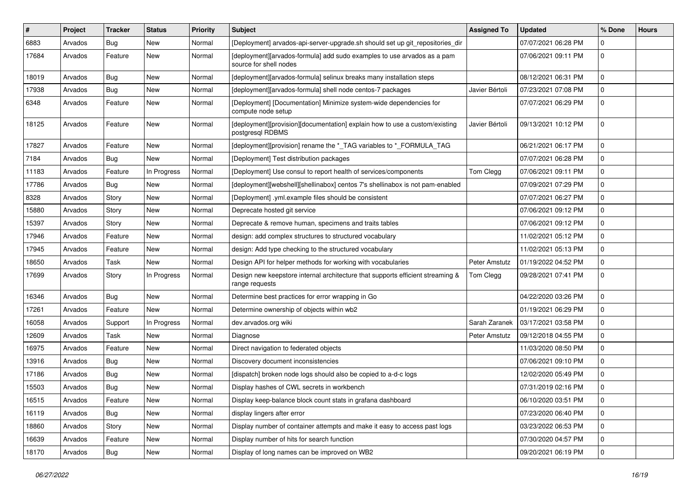| ∦     | <b>Project</b> | <b>Tracker</b> | <b>Status</b> | <b>Priority</b> | <b>Subject</b>                                                                                    | <b>Assigned To</b> | <b>Updated</b>      | % Done      | <b>Hours</b> |
|-------|----------------|----------------|---------------|-----------------|---------------------------------------------------------------------------------------------------|--------------------|---------------------|-------------|--------------|
| 6883  | Arvados        | <b>Bug</b>     | New           | Normal          | [Deployment] arvados-api-server-upgrade.sh should set up git_repositories_dir                     |                    | 07/07/2021 06:28 PM | $\Omega$    |              |
| 17684 | Arvados        | Feature        | New           | Normal          | [deployment][arvados-formula] add sudo examples to use arvados as a pam<br>source for shell nodes |                    | 07/06/2021 09:11 PM | $\mathbf 0$ |              |
| 18019 | Arvados        | <b>Bug</b>     | New           | Normal          | [deployment][arvados-formula] selinux breaks many installation steps                              |                    | 08/12/2021 06:31 PM | $\mathbf 0$ |              |
| 17938 | Arvados        | <b>Bug</b>     | New           | Normal          | [deployment][arvados-formula] shell node centos-7 packages                                        | Javier Bértoli     | 07/23/2021 07:08 PM | $\mathbf 0$ |              |
| 6348  | Arvados        | Feature        | New           | Normal          | [Deployment] [Documentation] Minimize system-wide dependencies for<br>compute node setup          |                    | 07/07/2021 06:29 PM | $\mathbf 0$ |              |
| 18125 | Arvados        | Feature        | New           | Normal          | [deployment][provision][documentation] explain how to use a custom/existing<br>postgresql RDBMS   | Javier Bértoli     | 09/13/2021 10:12 PM | $\mathbf 0$ |              |
| 17827 | Arvados        | Feature        | New           | Normal          | [deployment][provision] rename the *_TAG variables to *_FORMULA_TAG                               |                    | 06/21/2021 06:17 PM | $\mathbf 0$ |              |
| 7184  | Arvados        | <b>Bug</b>     | New           | Normal          | [Deployment] Test distribution packages                                                           |                    | 07/07/2021 06:28 PM | $\mathbf 0$ |              |
| 11183 | Arvados        | Feature        | In Progress   | Normal          | [Deployment] Use consul to report health of services/components                                   | Tom Clegg          | 07/06/2021 09:11 PM | $\mathbf 0$ |              |
| 17786 | Arvados        | Bug            | New           | Normal          | [deployment][webshell][shellinabox] centos 7's shellinabox is not pam-enabled                     |                    | 07/09/2021 07:29 PM | $\mathbf 0$ |              |
| 8328  | Arvados        | Story          | New           | Normal          | [Deployment] .yml.example files should be consistent                                              |                    | 07/07/2021 06:27 PM | $\mathbf 0$ |              |
| 15880 | Arvados        | Story          | New           | Normal          | Deprecate hosted git service                                                                      |                    | 07/06/2021 09:12 PM | $\mathbf 0$ |              |
| 15397 | Arvados        | Story          | New           | Normal          | Deprecate & remove human, specimens and traits tables                                             |                    | 07/06/2021 09:12 PM | $\mathbf 0$ |              |
| 17946 | Arvados        | Feature        | New           | Normal          | design: add complex structures to structured vocabulary                                           |                    | 11/02/2021 05:12 PM | $\mathbf 0$ |              |
| 17945 | Arvados        | Feature        | New           | Normal          | design: Add type checking to the structured vocabulary                                            |                    | 11/02/2021 05:13 PM | $\mathbf 0$ |              |
| 18650 | Arvados        | Task           | New           | Normal          | Design API for helper methods for working with vocabularies                                       | Peter Amstutz      | 01/19/2022 04:52 PM | $\mathbf 0$ |              |
| 17699 | Arvados        | Story          | In Progress   | Normal          | Design new keepstore internal architecture that supports efficient streaming &<br>range requests  | Tom Clegg          | 09/28/2021 07:41 PM | $\mathbf 0$ |              |
| 16346 | Arvados        | Bug            | New           | Normal          | Determine best practices for error wrapping in Go                                                 |                    | 04/22/2020 03:26 PM | $\mathbf 0$ |              |
| 17261 | Arvados        | Feature        | New           | Normal          | Determine ownership of objects within wb2                                                         |                    | 01/19/2021 06:29 PM | $\mathbf 0$ |              |
| 16058 | Arvados        | Support        | In Progress   | Normal          | dev.arvados.org wiki                                                                              | Sarah Zaranek      | 03/17/2021 03:58 PM | $\mathbf 0$ |              |
| 12609 | Arvados        | Task           | New           | Normal          | Diagnose                                                                                          | Peter Amstutz      | 09/12/2018 04:55 PM | $\mathbf 0$ |              |
| 16975 | Arvados        | Feature        | New           | Normal          | Direct navigation to federated objects                                                            |                    | 11/03/2020 08:50 PM | $\mathbf 0$ |              |
| 13916 | Arvados        | Bug            | New           | Normal          | Discovery document inconsistencies                                                                |                    | 07/06/2021 09:10 PM | $\mathbf 0$ |              |
| 17186 | Arvados        | <b>Bug</b>     | New           | Normal          | [dispatch] broken node logs should also be copied to a-d-c logs                                   |                    | 12/02/2020 05:49 PM | $\mathbf 0$ |              |
| 15503 | Arvados        | <b>Bug</b>     | New           | Normal          | Display hashes of CWL secrets in workbench                                                        |                    | 07/31/2019 02:16 PM | 0           |              |
| 16515 | Arvados        | Feature        | New           | Normal          | Display keep-balance block count stats in grafana dashboard                                       |                    | 06/10/2020 03:51 PM | 0           |              |
| 16119 | Arvados        | <b>Bug</b>     | New           | Normal          | display lingers after error                                                                       |                    | 07/23/2020 06:40 PM | $\mathbf 0$ |              |
| 18860 | Arvados        | Story          | New           | Normal          | Display number of container attempts and make it easy to access past logs                         |                    | 03/23/2022 06:53 PM | 0           |              |
| 16639 | Arvados        | Feature        | New           | Normal          | Display number of hits for search function                                                        |                    | 07/30/2020 04:57 PM | 0           |              |
| 18170 | Arvados        | <b>Bug</b>     | New           | Normal          | Display of long names can be improved on WB2                                                      |                    | 09/20/2021 06:19 PM | $\mathbf 0$ |              |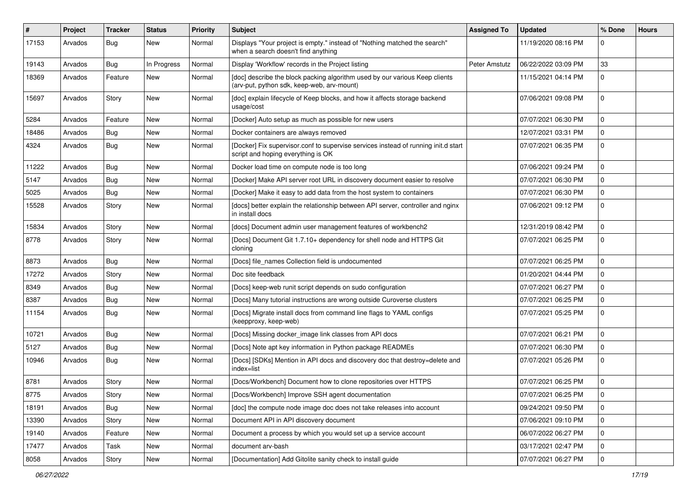| ∦     | <b>Project</b> | <b>Tracker</b> | <b>Status</b> | <b>Priority</b> | <b>Subject</b>                                                                                                            | <b>Assigned To</b> | <b>Updated</b>      | % Done      | <b>Hours</b> |
|-------|----------------|----------------|---------------|-----------------|---------------------------------------------------------------------------------------------------------------------------|--------------------|---------------------|-------------|--------------|
| 17153 | Arvados        | <b>Bug</b>     | New           | Normal          | Displays "Your project is empty." instead of "Nothing matched the search"<br>when a search doesn't find anything          |                    | 11/19/2020 08:16 PM | $\Omega$    |              |
| 19143 | Arvados        | <b>Bug</b>     | In Progress   | Normal          | Display 'Workflow' records in the Project listing                                                                         | Peter Amstutz      | 06/22/2022 03:09 PM | 33          |              |
| 18369 | Arvados        | Feature        | New           | Normal          | [doc] describe the block packing algorithm used by our various Keep clients<br>(arv-put, python sdk, keep-web, arv-mount) |                    | 11/15/2021 04:14 PM | $\mathbf 0$ |              |
| 15697 | Arvados        | Story          | New           | Normal          | [doc] explain lifecycle of Keep blocks, and how it affects storage backend<br>usage/cost                                  |                    | 07/06/2021 09:08 PM | $\mathbf 0$ |              |
| 5284  | Arvados        | Feature        | New           | Normal          | [Docker] Auto setup as much as possible for new users                                                                     |                    | 07/07/2021 06:30 PM | 0           |              |
| 18486 | Arvados        | <b>Bug</b>     | New           | Normal          | Docker containers are always removed                                                                                      |                    | 12/07/2021 03:31 PM | $\mathbf 0$ |              |
| 4324  | Arvados        | <b>Bug</b>     | New           | Normal          | [Docker] Fix supervisor.conf to supervise services instead of running init.d start<br>script and hoping everything is OK  |                    | 07/07/2021 06:35 PM | $\mathbf 0$ |              |
| 11222 | Arvados        | <b>Bug</b>     | New           | Normal          | Docker load time on compute node is too long                                                                              |                    | 07/06/2021 09:24 PM | $\Omega$    |              |
| 5147  | Arvados        | <b>Bug</b>     | New           | Normal          | [Docker] Make API server root URL in discovery document easier to resolve                                                 |                    | 07/07/2021 06:30 PM | $\mathbf 0$ |              |
| 5025  | Arvados        | <b>Bug</b>     | New           | Normal          | [Docker] Make it easy to add data from the host system to containers                                                      |                    | 07/07/2021 06:30 PM | $\mathbf 0$ |              |
| 15528 | Arvados        | Story          | New           | Normal          | [docs] better explain the relationship between API server, controller and nginx<br>in install docs                        |                    | 07/06/2021 09:12 PM | $\Omega$    |              |
| 15834 | Arvados        | Story          | New           | Normal          | [docs] Document admin user management features of workbench2                                                              |                    | 12/31/2019 08:42 PM | $\Omega$    |              |
| 8778  | Arvados        | Story          | New           | Normal          | [Docs] Document Git 1.7.10+ dependency for shell node and HTTPS Git<br>cloning                                            |                    | 07/07/2021 06:25 PM | $\mathbf 0$ |              |
| 8873  | Arvados        | <b>Bug</b>     | New           | Normal          | [Docs] file_names Collection field is undocumented                                                                        |                    | 07/07/2021 06:25 PM | $\mathbf 0$ |              |
| 17272 | Arvados        | Story          | New           | Normal          | Doc site feedback                                                                                                         |                    | 01/20/2021 04:44 PM | $\mathbf 0$ |              |
| 8349  | Arvados        | <b>Bug</b>     | New           | Normal          | [Docs] keep-web runit script depends on sudo configuration                                                                |                    | 07/07/2021 06:27 PM | $\Omega$    |              |
| 8387  | Arvados        | <b>Bug</b>     | New           | Normal          | [Docs] Many tutorial instructions are wrong outside Curoverse clusters                                                    |                    | 07/07/2021 06:25 PM | $\Omega$    |              |
| 11154 | Arvados        | <b>Bug</b>     | New           | Normal          | [Docs] Migrate install docs from command line flags to YAML configs<br>(keepproxy, keep-web)                              |                    | 07/07/2021 05:25 PM | $\mathbf 0$ |              |
| 10721 | Arvados        | <b>Bug</b>     | New           | Normal          | [Docs] Missing docker_image link classes from API docs                                                                    |                    | 07/07/2021 06:21 PM | $\mathbf 0$ |              |
| 5127  | Arvados        | <b>Bug</b>     | New           | Normal          | [Docs] Note apt key information in Python package READMEs                                                                 |                    | 07/07/2021 06:30 PM | $\mathbf 0$ |              |
| 10946 | Arvados        | <b>Bug</b>     | New           | Normal          | [Docs] [SDKs] Mention in API docs and discovery doc that destroy=delete and<br>index=list                                 |                    | 07/07/2021 05:26 PM | $\mathbf 0$ |              |
| 8781  | Arvados        | Story          | New           | Normal          | [Docs/Workbench] Document how to clone repositories over HTTPS                                                            |                    | 07/07/2021 06:25 PM | $\mathbf 0$ |              |
| 8775  | Arvados        | Story          | New           | Normal          | [Docs/Workbench] Improve SSH agent documentation                                                                          |                    | 07/07/2021 06:25 PM |             |              |
| 18191 | Arvados        | Bug            | New           | Normal          | [doc] the compute node image doc does not take releases into account                                                      |                    | 09/24/2021 09:50 PM | $\mathbf 0$ |              |
| 13390 | Arvados        | Story          | New           | Normal          | Document API in API discovery document                                                                                    |                    | 07/06/2021 09:10 PM | $\mathbf 0$ |              |
| 19140 | Arvados        | Feature        | New           | Normal          | Document a process by which you would set up a service account                                                            |                    | 06/07/2022 06:27 PM | $\mathbf 0$ |              |
| 17477 | Arvados        | Task           | New           | Normal          | document arv-bash                                                                                                         |                    | 03/17/2021 02:47 PM | 0           |              |
| 8058  | Arvados        | Story          | New           | Normal          | [Documentation] Add Gitolite sanity check to install guide                                                                |                    | 07/07/2021 06:27 PM | $\mathbf 0$ |              |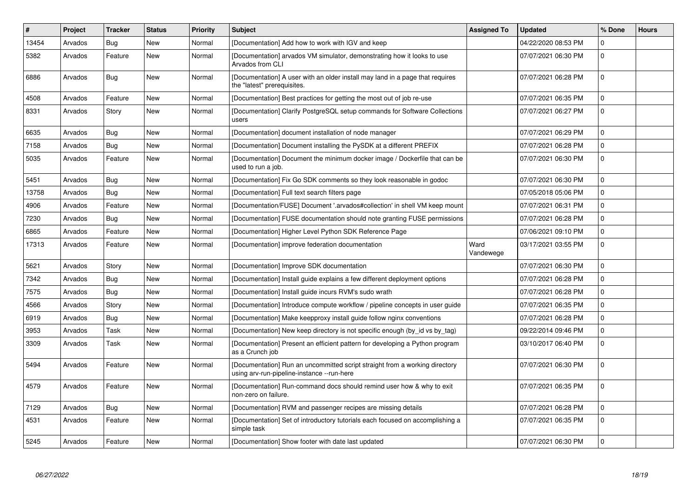| #     | Project | Tracker    | <b>Status</b> | <b>Priority</b> | <b>Subject</b>                                                                                                            | <b>Assigned To</b> | <b>Updated</b>      | % Done      | <b>Hours</b> |
|-------|---------|------------|---------------|-----------------|---------------------------------------------------------------------------------------------------------------------------|--------------------|---------------------|-------------|--------------|
| 13454 | Arvados | Bug        | <b>New</b>    | Normal          | [Documentation] Add how to work with IGV and keep                                                                         |                    | 04/22/2020 08:53 PM | $\Omega$    |              |
| 5382  | Arvados | Feature    | New           | Normal          | [Documentation] arvados VM simulator, demonstrating how it looks to use<br>Arvados from CLI                               |                    | 07/07/2021 06:30 PM | $\Omega$    |              |
| 6886  | Arvados | <b>Bug</b> | <b>New</b>    | Normal          | [Documentation] A user with an older install may land in a page that requires<br>the "latest" prerequisites.              |                    | 07/07/2021 06:28 PM | 0           |              |
| 4508  | Arvados | Feature    | <b>New</b>    | Normal          | [Documentation] Best practices for getting the most out of job re-use                                                     |                    | 07/07/2021 06:35 PM | $\mathbf 0$ |              |
| 8331  | Arvados | Story      | <b>New</b>    | Normal          | [Documentation] Clarify PostgreSQL setup commands for Software Collections<br>users                                       |                    | 07/07/2021 06:27 PM | $\mathbf 0$ |              |
| 6635  | Arvados | Bug        | <b>New</b>    | Normal          | [Documentation] document installation of node manager                                                                     |                    | 07/07/2021 06:29 PM | $\Omega$    |              |
| 7158  | Arvados | <b>Bug</b> | New           | Normal          | [Documentation] Document installing the PySDK at a different PREFIX                                                       |                    | 07/07/2021 06:28 PM | $\Omega$    |              |
| 5035  | Arvados | Feature    | New           | Normal          | [Documentation] Document the minimum docker image / Dockerfile that can be<br>used to run a job.                          |                    | 07/07/2021 06:30 PM | $\mathbf 0$ |              |
| 5451  | Arvados | <b>Bug</b> | New           | Normal          | [Documentation] Fix Go SDK comments so they look reasonable in godoc                                                      |                    | 07/07/2021 06:30 PM | $\mathbf 0$ |              |
| 13758 | Arvados | Bug        | <b>New</b>    | Normal          | [Documentation] Full text search filters page                                                                             |                    | 07/05/2018 05:06 PM | $\mathbf 0$ |              |
| 4906  | Arvados | Feature    | New           | Normal          | [Documentation/FUSE] Document '.arvados#collection' in shell VM keep mount                                                |                    | 07/07/2021 06:31 PM | $\Omega$    |              |
| 7230  | Arvados | <b>Bug</b> | <b>New</b>    | Normal          | [Documentation] FUSE documentation should note granting FUSE permissions                                                  |                    | 07/07/2021 06:28 PM | $\Omega$    |              |
| 6865  | Arvados | Feature    | New           | Normal          | [Documentation] Higher Level Python SDK Reference Page                                                                    |                    | 07/06/2021 09:10 PM | 0           |              |
| 17313 | Arvados | Feature    | New           | Normal          | [Documentation] improve federation documentation                                                                          | Ward<br>Vandewege  | 03/17/2021 03:55 PM | 0           |              |
| 5621  | Arvados | Story      | <b>New</b>    | Normal          | [Documentation] Improve SDK documentation                                                                                 |                    | 07/07/2021 06:30 PM | 0           |              |
| 7342  | Arvados | Bug        | New           | Normal          | [Documentation] Install guide explains a few different deployment options                                                 |                    | 07/07/2021 06:28 PM | $\Omega$    |              |
| 7575  | Arvados | Bug        | New           | Normal          | [Documentation] Install guide incurs RVM's sudo wrath                                                                     |                    | 07/07/2021 06:28 PM | $\mathbf 0$ |              |
| 4566  | Arvados | Story      | <b>New</b>    | Normal          | [Documentation] Introduce compute workflow / pipeline concepts in user quide                                              |                    | 07/07/2021 06:35 PM | $\Omega$    |              |
| 6919  | Arvados | <b>Bug</b> | New           | Normal          | [Documentation] Make keepproxy install guide follow nginx conventions                                                     |                    | 07/07/2021 06:28 PM | $\Omega$    |              |
| 3953  | Arvados | Task       | New           | Normal          | [Documentation] New keep directory is not specific enough (by_id vs by_tag)                                               |                    | 09/22/2014 09:46 PM | $\mathbf 0$ |              |
| 3309  | Arvados | Task       | <b>New</b>    | Normal          | [Documentation] Present an efficient pattern for developing a Python program<br>as a Crunch job                           |                    | 03/10/2017 06:40 PM | 0           |              |
| 5494  | Arvados | Feature    | <b>New</b>    | Normal          | [Documentation] Run an uncommitted script straight from a working directory<br>using arv-run-pipeline-instance --run-here |                    | 07/07/2021 06:30 PM | $\Omega$    |              |
| 4579  | Arvados | Feature    | New           | Normal          | [Documentation] Run-command docs should remind user how & why to exit<br>non-zero on failure.                             |                    | 07/07/2021 06:35 PM | 0           |              |
| 7129  | Arvados | <b>Bug</b> | New           | Normal          | [Documentation] RVM and passenger recipes are missing details                                                             |                    | 07/07/2021 06:28 PM | 0           |              |
| 4531  | Arvados | Feature    | New           | Normal          | [Documentation] Set of introductory tutorials each focused on accomplishing a<br>simple task                              |                    | 07/07/2021 06:35 PM | $\mathbf 0$ |              |
| 5245  | Arvados | Feature    | New           | Normal          | [Documentation] Show footer with date last updated                                                                        |                    | 07/07/2021 06:30 PM | $\Omega$    |              |